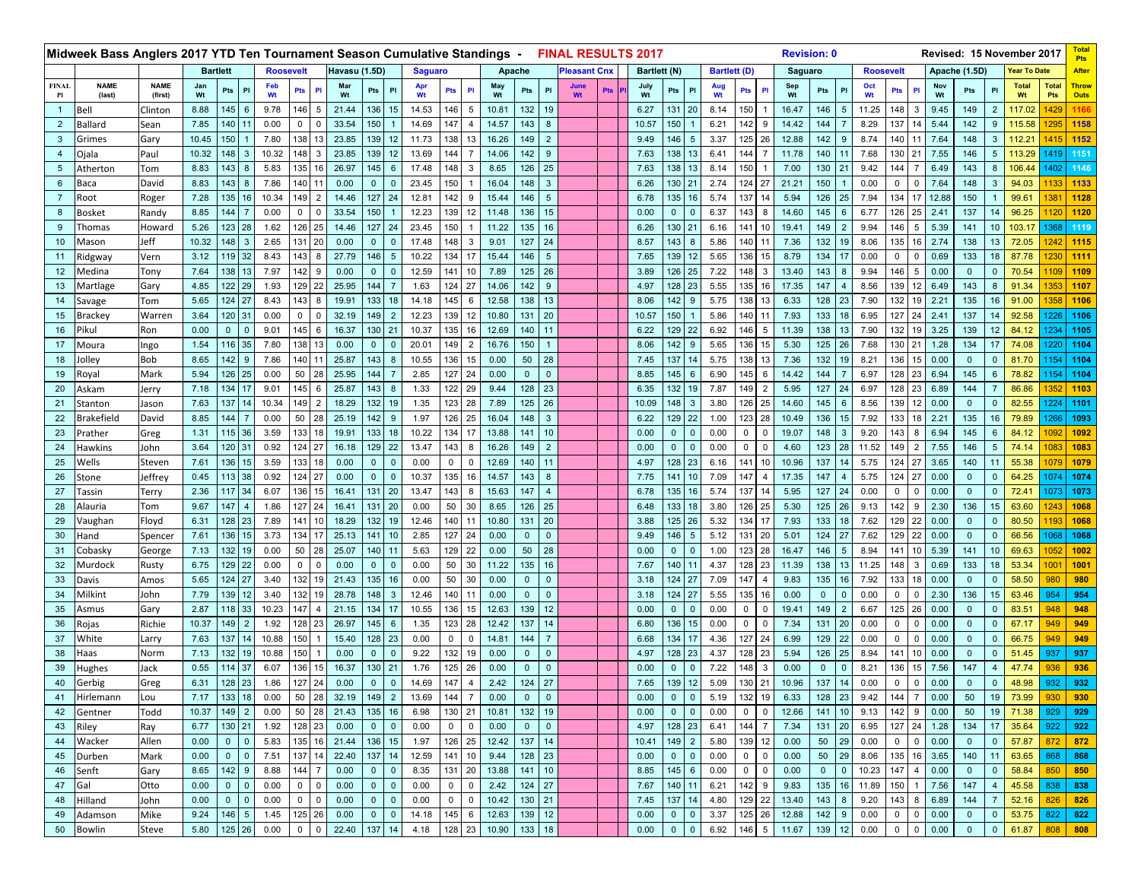|                    | Midweek Bass Anglers 2017 YTD Ten Tournament Season Cumulative Standings - |                          |                               |                            |                  |                |                |               |                |                 |                |                |                |           |                |                 | <b>FINAL RESULTS 2017</b> |     |              |                |                 |           |                     |                | <b>Revision: 0</b> |              |              |                  |                |                |               |              |                | Revised: 15 November 2017 |                     | <b>Pts</b>                  |
|--------------------|----------------------------------------------------------------------------|--------------------------|-------------------------------|----------------------------|------------------|----------------|----------------|---------------|----------------|-----------------|----------------|----------------|----------------|-----------|----------------|-----------------|---------------------------|-----|--------------|----------------|-----------------|-----------|---------------------|----------------|--------------------|--------------|--------------|------------------|----------------|----------------|---------------|--------------|----------------|---------------------------|---------------------|-----------------------------|
|                    |                                                                            |                          | <b>Bartlett</b>               |                            | <b>Roosevelt</b> |                |                | Havasu (1.5D) |                |                 | <b>Saguaro</b> |                |                | Apache    |                |                 | <b>Pleasant Cnx</b>       |     | Bartlett (N) |                |                 |           | <b>Bartlett (D)</b> |                | Saguaro            |              |              | <b>Roosevelt</b> |                |                | Apache (1.5D) |              |                | <b>Year To Date</b>       |                     | <b>After</b>                |
| <b>FINAL</b><br>Pl | <b>NAME</b><br>(last)                                                      | <b>NAME</b><br>(first)   | Jan<br>Wt                     | Pts<br>PI                  | Feb<br>Wt        | <b>Pts</b>     | PI             | Mar<br>Wt     | Pts            | PI              | Wt             | Pts            | PI             | May<br>Wt | Pts            | PI              | June<br>Wt                | Pts | July<br>Wt   | Pts            | P               | Aug<br>Wt | Pts                 | PI             | Sep<br>Wt          | Pts          | PI           | Oct<br>Wt        | Pts            | PI             | Nov<br>Wt     | Pts          | PI             | <b>Total</b><br>Wt        | <b>Total</b><br>Pts | <b>Throw</b><br><b>Outs</b> |
| $\mathbf{1}$       | Bell                                                                       | Clinton                  | 145<br>8.88<br>6              |                            |                  | 146            | 5              | 21.44         | 136            | 15              | 14.53          | 146            | 5              | 10.81     | 132            | 19              |                           |     | 6.27         | 131            | 20              | 8.14      | 150                 |                | 16.47              | 146          | .5           | 11.25            | 148            | 3              | 9.45          | 149          | $\overline{2}$ | 117.02                    | 1429                | 1166                        |
| $\overline{2}$     | Ballard                                                                    | Sean                     | 7.85                          | 140                        | 9.78<br>0.00     | 0              |                | 33.54         | 150            |                 | 14.69          | 147            |                | 14.57     | 143            | 8               |                           |     | 10.57        | 150            |                 | 6.21      | 142                 | 9              | 14.42              | 144          |              | 8.29             | 137            | 14             | 5.44          | 142          | 9              | 115.58                    |                     | 1158                        |
| $\mathbf{3}$       | Grimes                                                                     | Gary                     | 10.45                         | 150                        | 7.80             | 138            | 13             | 23.85         | 139            | 12              | 11.73          | 138            | 13             | 16.26     | 149            | 2               |                           |     | 9.49         | 146            | $5\phantom{.0}$ | 3.37      | 125                 | 26             | 12.88              | 142          | 9            | 8.74             | 140            | 11             | 7.64          | 148          | 3              | 112.21                    | 1415                | 1152                        |
| 4                  | Ojala                                                                      | Paul                     | 10.32                         | 148<br>3                   | 10.32            | 148            | 3              | 23.85         | 139            | 12              | 13.69          | 144            |                | 14.06     | 142            |                 |                           |     | 7.63         | 138            | 13              | 6.41      | 144                 |                | 11.78              | 140          |              | 7.68             | 130            | 21             | 7.55          | 146          | 5              | 113.29                    | 1419                | 1151                        |
| $5\phantom{.0}$    | Atherton                                                                   |                          | 143<br>8.83<br>Tom<br>-8<br>8 |                            |                  | 135            | 16             | 26.97         | 145            | 6               | 17.48          | 148            | 3              | 8.65      | 126            | 25              |                           |     | 7.63         | 138            | 13              | 8.14      | 150                 |                | 7.00               | 130          | 21           | 9.42             | 144            | $\overline{7}$ | 6.49          | 143          | 8              | 106.44                    | 1402                | 1146                        |
| $6\phantom{1}$     | Baca                                                                       | 8.83<br>143<br>David     |                               |                            | 5.83<br>7.86     | 140            | 11             | 0.00          | $\mathbf 0$    | $\mathbf{0}$    | 23.45          | 150            |                | 16.04     | 148            | 3               |                           |     | 6.26         |                | 130 21          | 2.74      | 124                 | 27             | 21.21              | 150          |              | 0.00             | $\mathbf 0$    | 0              | 7.64          | 148          | 3              | 94.03                     | 1133                | 1133                        |
| $\overline{7}$     | Root                                                                       | 135 16<br>7.28<br>Roger  |                               |                            | 10.34            | 149            | $\overline{2}$ | 14.46         | 127            | 24              | 12.81          | 142            | 9              | 15.44     | 146            | 5               |                           |     | 6.78         | 135            | 16              | 5.74      | 137                 | -14            | 5.94               | 126          | 25           | 7.94             | 134            | 17             | 12.88         | 150          |                | 99.61                     |                     | 1128                        |
| 8                  | Bosket                                                                     | Randy                    | 8.85                          | 144                        | 0.00             | $\overline{0}$ | $\mathbf 0$    | 33.54         | 150            |                 | 12.23          | 139            | 12             | 11.48     | 136            | 15              |                           |     | 0.00         | $\mathbf{0}$   | $\mathbf{0}$    | 6.37      | 143                 | 8              | 14.60              | 145          |              | 6.77             | 126            | 25             | 2.41          | 137          | 14             | 96.25                     | 1120                | 1120                        |
| 9                  | Thomas                                                                     | Howard                   | 5.26                          | 123 28                     | 1.62             | 126            | 25             | 14.46         | 127            | 24              | 23.45          | 150            |                | 11.22     | 135            | 16              |                           |     | 6.26         | 130            | 21              | 6.16      | 141                 | 10             | 19.41              | 149          |              | 9.94             | 146            | 5              | 5.39          | 141          | 10             | 103.17                    | 1368                | 1119                        |
| 10 <sup>1</sup>    | Mason                                                                      | Jeff                     | 10.32                         | $148 \quad 3$              | 2.65             | 131            | 20             | 0.00          | $\mathbf 0$    | $\mathbf{0}$    | 17.48          | 148            | 3              | 9.01      | 127            | 24              |                           |     | 8.57         | 143            | 8               | 5.86      | 140                 | -11            | 7.36               | 132          | 19           | 8.06             | 135            | 16             | 2.74          | 138          | 13             | 72.05                     | 1242                | 1115                        |
| 11                 | Ridgway                                                                    | Vern                     | 3.12                          | 119 32                     | 8.43             | 143            | 8              | 27.79         | 146            | 5               | 10.22          | 134            | 17             | 15.44     | 146            | 5               |                           |     | 7.65         | 139            | 12              | 5.65      | 136                 | 15             | 8.79               | 134          |              | 0.00             | $\mathbf 0$    | $\mathbf 0$    | 0.69          | 133          | 18             | 87.78                     |                     | 1111                        |
| 12                 | Medina                                                                     | Tony                     | 7.64                          | 138<br>13                  | 7.97             | 142            | 9              | 0.00          | $\mathbf 0$    | $\mathbf{0}$    | 12.59          | 141            | 10             | 7.89      | 125            | 26              |                           |     | 3.89         |                | 126 25          | 7.22      | 148                 | 3              | 13.40              | 143          |              | 9.94             | 146            | 5              | 0.00          | $\mathbf 0$  | $\Omega$       | 70.54                     |                     | 1109                        |
| 13                 | Martlage                                                                   | 122 29<br>Gary<br>4.85   |                               |                            | 1.93             | 129            | 22             | 25.95         | 144            | $\overline{7}$  | 1.63           | 124            | 27             | 14.06     | 142            | 9               |                           |     | 4.97         | 128            | 23              | 5.55      | 135                 | 16             | 17.35              | 147          |              | 8.56             | 139            | 12             | 6.49          | 143          | 8              | 91.34                     | 1353                | 1107                        |
| 14                 | Savage                                                                     | 124 27<br>5.65<br>Tom    |                               |                            | 8.43             | 143            | 8              | 19.91         | 133            | 18              | 14.18          | 145            | 6              | 12.58     | 138            | 13              |                           |     | 8.06         | 142            | 9               | 5.75      | 138                 | 13             | 6.33               | 128          |              | 7.90             | 132            | 19             | 2.21          | 135          | 16             | 91.00                     |                     | 1106                        |
| 15                 | Brackey                                                                    | 120 31<br>3.64<br>Warren |                               |                            | 0.00             | $\mathbf{0}$   | $\mathbf 0$    | 32.19         | 149            | $\overline{2}$  | 12.23          | 139            | 12             | 10.80     | 131            | 20              |                           |     | 10.57        | 150            |                 | 5.86      | 140                 | -11            | 7.93               | 133          | 18           | 6.95             | 127            | 24             | 2.41          | 137          | 14             | 92.58                     | 1226                | 1106                        |
| 16                 | Pikul                                                                      | Ron                      | 0.00                          | $\mathbf 0$<br>$\mathbf 0$ | 9.01             | 145            | 6              | 16.37         | 130            | 21              | 10.37          | 135            | 16             | 12.69     | 140            | 11              |                           |     | 6.22         | 129            | 22              | 6.92      | 146                 | 5              | 11.39              | 138          |              | 7.90             | 132            | 19             | 3.25          | 139          | 12             | 84.12                     | 1234                | 1105                        |
| 17                 | Moura                                                                      | Ingo                     | 1.54                          | 116 35                     | 7.80             | 138            | 13             | 0.00          | $\mathbf 0$    | $\mathbf{0}$    | 20.01          | 149            | $\overline{2}$ | 16.76     | 150            |                 |                           |     | 8.06         | 142            | 9               | 5.65      | 136                 | 15             | 5.30               | 125          | 26           | 7.68             | 130            | 21             | 1.28          | 134          | 17             | 74.08                     | 1220                | 1104                        |
| 18                 | Iollev                                                                     | Bob                      | 8.65                          | 142 9                      | 7.86             | 140            | 11             | 25.87         | 143            | 8               | 10.55          | 136            | 15             | 0.00      | 50             | 28              |                           |     | 7.45         | 137            | 14              | 5.75      | 138                 | 13             | 7.36               | 132          |              | 8.21             | 136            | 15             | 0.00          | $\mathbf{0}$ | $\Omega$       | 81.70                     | 1154                | 1104                        |
| 19                 | Royal                                                                      | Mark                     | 5.94                          | 126<br>25                  | 0.00             | 50             | 28             | 25.95         | 144            |                 | 2.85           | 127            | 24             | 0.00      | $\mathbf 0$    |                 |                           |     | 8.85         | 145            | 6               | 6.90      | 145                 | 6              | 14.42              | 144          |              | 6.97             | 128            | 23             | 6.94          | 145          | 6              | 78.82                     | 1154                | 1104                        |
| 20                 | Askam                                                                      | Jerry                    | 7.18                          | 134 17                     | 9.01             | 145            | 6              | 25.87         | 143            | 8               | 1.33           | 122            | 29             | 9.44      | 128            | 23              |                           |     | 6.35         | 132            | 19              | 7.87      | 149                 | $\overline{2}$ | 5.95               | 127          | 24           | 6.97             | 128            | 23             | 6.89          | 144          | 7              | 86.86                     | 1352                | 1103                        |
| 21                 | Stanton                                                                    | Jason                    | 7.63                          | 137 14                     | 10.34            | 149            | $\overline{2}$ | 18.29         | 132            | 19              | 1.35           | 123            | 28             | 7.89      | 125            | 26              |                           |     | 10.09        | 148            | $\mathbf{3}$    | 3.80      | 126                 | 25             | 14.60              | 145          |              | 8.56             | 139            | 12             | 0.00          | $\mathbf{0}$ | $\Omega$       | 82.55                     | 1224                | 1101                        |
| 22                 | Brakefield                                                                 | David                    | 8.85                          | 144                        | 0.00             | 50             | 28             | 25.19         | 142            | 9               | 1.97           | 126            | 25             | 16.04     | 148            | 3               |                           |     | 6.22         |                | 129 22          | 1.00      | 123                 | 28             | 10.49              | 136          | 15           | 7.92             | 133            | 18             | 2.21          | 135          | 16             | 79.89                     | 1266                | 1093                        |
| 23                 | Prather                                                                    | Greg                     | 1.31                          | 115 36                     | 3.59             | 133            | 18             | 19.91         | 133            | 18              | 10.22          | 134            | 17             | 13.88     | 141            | 10 <sup>1</sup> |                           |     | 0.00         | $\mathbf{0}$   | $\mathbf 0$     | 0.00      | $\mathbf 0$         | $\mathbf 0$    | 19.07              | 148          | 3            | 9.20             | 143            | 8              | 6.94          | 145          | 6              | 84.12                     | 1092                | 1092                        |
| 24                 | Hawkins                                                                    | John                     | 3.64                          | 120 31                     | 0.92             | 124            | 27             | 16.18         | 129            | 22              | 13.47          | 143            | 8              | 16.26     | 149            |                 |                           |     | 0.00         |                | $\Omega$        | 0.00      | 0                   | $\mathbf 0$    | 4.60               | 123          | 28           | 11.52            | 149            | $\overline{2}$ | 7.55          | 146          | 5              | 74.14                     |                     | 1083                        |
| 25                 | Wells                                                                      | Steven                   | 7.61                          | 136 15                     | 3.59             | 133            | 18             | 0.00          | $\mathbf 0$    | $\mathbf{0}$    | 0.00           | $\mathbf{0}$   | $\mathbf 0$    | 12.69     | 140            | 11              |                           |     | 4.97         |                | 128 23          | 6.16      | 141                 | 10             | 10.96              | 137          |              | 5.75             | 124            | 27             | 3.65          | 140          | 11             | 55.38                     | 1079                | 1079                        |
| 26                 | Stone                                                                      | Jeffrey                  | 0.45                          | 113 38                     | 0.92             | 124            | 27             | 0.00          | $\mathbf 0$    | $\mathbf{0}$    | 10.37          | 135            | 16             | 14.57     | 143            | 8               |                           |     | 7.75         | 141            | 10              | 7.09      | 147                 |                | 17.35              | 147          |              | 5.75             | 124            | 27             | 0.00          | $\mathbf{0}$ | $\mathbf{0}$   | 64.25                     | 1074                | 1074                        |
| 27                 | Tassin                                                                     | Terry                    | 2.36                          | 117 34                     | 6.07             | 136            | 15             | 16.41         | 131            | 20              | 13.47          | 143            | 8              | 15.63     | 147            | $\overline{4}$  |                           |     | 6.78         | 135            | 16              | 5.74      | 137                 | -14            | 5.95               | 127          | 24           | 0.00             | $\mathbf 0$    | 0              | 0.00          | $\mathbf 0$  | $\mathbf{0}$   | 72.41                     | 1073                | 1073                        |
| 28                 | Alauria                                                                    | Tom                      | 9.67                          | 147  <br>$\overline{4}$    | 1.86             | 127            | 24             | 16.41         | 131            | 20              | 0.00           | 50             | 30             | 8.65      | 126            | 25              |                           |     | 6.48         |                | 133 18          | 3.80      | 126                 | 25             | 5.30               | 125          | 26           | 9.13             | 142            | 9              | 2.30          | 136          | 15             | 63.60                     | 1243                | 1068                        |
| 29                 | √aughan                                                                    | Floyd                    | 6.31                          | 128<br>23                  | 7.89             | 141            | 10             | 18.29         | 132            | 19              | 12.46          | 140            | 11             | 10.80     | 131            | 20              |                           |     | 3.88         | 125            | 26              | 5.32      | 134                 | 17             | 7.93               | 133          |              | 7.62             | 129            | 22             | 0.00          | $\mathbf{0}$ | $\Omega$       | 80.50                     |                     | 1068                        |
| 30                 | Hand                                                                       | Spencer                  | 7.61                          | 136 15                     | 3.73             | 134            | 17             | 25.13         | 141            | 10 <sup>1</sup> | 2.85           | 127            | 24             | 0.00      | $\mathbf 0$    | $\mathbf{0}$    |                           |     | 9.49         | 146            | $5\phantom{.0}$ | 5.12      | 131                 | 20             | 5.01               | 124          | 27           | 7.62             | 129            | 22             | 0.00          | $\mathbf{0}$ | $\mathbf{0}$   | 66.56                     | 1068                | 1068                        |
| 31                 | Cobasky                                                                    | George                   | 7.13                          | 132 19                     | 0.00             | 50             | 28             | 25.07         | 140            | 11              | 5.63           | 129            | 22             | 0.00      | 50             | 28              |                           |     | 0.00         | $\Omega$       | $\mathbf{0}$    | 1.00      | 123                 | 28             | 16.47              | 146          | .5           | 8.94             | 141            | 10             | 5.39          | 141          | 10             | 69.63                     | 1052                | 1002                        |
| 32                 | Murdock                                                                    | Rusty                    | 6.75                          | 129 22                     | 0.00             | $\mathbf{0}$   | $\Omega$       | 0.00          | $\overline{0}$ | $\Omega$        | 0.00           | 50             | 30             | 11.22     | 135            | 16              |                           |     | 7.67         | 140            | 11              | 4.37      | 128                 | 23             | 11.39              | 138          | 13           | 11.25            | 148            | 3              | 0.69          | 133          | 18             | 53.34                     |                     | 1001                        |
| 33                 | Davis                                                                      | Amos                     | 5.65                          | 124 27                     | 3.40             | 132            | 19             | 21.43         | 135            | 16              | 0.00           | 50             | 30             | 0.00      | $\mathbf{0}$   | $\mathbf{0}$    |                           |     | 3.18         |                | 124 27          | 7.09      | 147                 | $\overline{4}$ | 9.83               | 135          | 16           | 7.92             | 133            | 18             | 0.00          | $\mathbf 0$  | $\mathbf{0}$   | 58.50                     | 980                 | 980                         |
| 34                 | Milkint                                                                    | John                     | 7.79                          | 139<br>12                  | 3.40             | 132            | 19             | 28.78         | 148            |                 | 12.46          | 140            | 11             | 0.00      | $\mathbf{0}$   |                 |                           |     | 3.18         | 124            | 27              | 5.55      | 135                 | 16             | 0.00               | $\mathbf 0$  |              | 0.00             | $\Omega$       | $\Omega$       | 2.30          | 136          | 15             | 63.46                     | 954                 | 954                         |
| 35                 | Asmus                                                                      | Gary                     | 2.87                          | 118 33                     | 10.23            | 147            | 4              | 21.15         | 134            | 17              | 10.55          | 136            | 15             | 12.63     | 139            | 12              |                           |     | 0.00         | $\mathbf{0}$   | $\mathbf 0$     | 0.00      | $\mathbf{0}$        | $^{\circ}$     | 19.41              | 149          |              | 6.67             | 125            | 26             | 0.00          | $\mathbf{0}$ | $\Omega$       | 83.51                     | 948                 | 948                         |
| 36                 | Rojas                                                                      | Richie                   | 10.37                         | 149  <br>$\overline{2}$    | 1.92             | 128            | 23             | 26.97         | 145            |                 | 1.35           | 123            | 28             | 12.42     | 137            | 14              |                           |     | 6.80         | 136            | 15              | 0.00      | $\mathbf 0$         | $\mathbf 0$    | 7.34               | 131          | 20           | 0.00             | $\overline{0}$ | 0              | 0.00          | $\mathbf{0}$ | $\Omega$       | 67.17                     | 949                 | 949                         |
| 37                 | White                                                                      | Larry                    | 7.63                          | 137 14                     | 10.88            | 150            |                | 15.40         | 128            | 23              | 0.00           | 0              | 0              | 14.81     | 144            |                 |                           |     | 6.68         | 134            | 17              | 4.36      | 127                 | 24             | 6.99               | 129          | 22           | 0.00             | $\overline{0}$ | $\Omega$       | 0.00          | $\mathbf 0$  | $\mathbf{0}$   | 66.75                     | 949                 | 949                         |
| 38                 | Haas                                                                       | Norm                     | 7.13                          | 132 19                     | 10.88            | 150            |                | 0.00          | $\mathbf 0$    | $\mathbf{0}$    | 9.22           | 132            | 19             | 0.00      | $\mathbf{0}$   | $\mathbf{0}$    |                           |     | 4.97         |                | 128 23          | 4.37      | 128                 | 23             | 5.94               | 126          | 25           | 8.94             | 141            | 10             | 0.00          | $\mathbf 0$  | $\Omega$       | 51.45                     | 937                 | 937                         |
| 39                 | Hughes                                                                     | Jack                     | 0.55                          | 37<br>114                  | 6.07             | 136            | 15             | 16.37         | 130            | 21              | 1.76           | 125            | 26             | 0.00      | $\mathbf 0$    |                 |                           |     | 0.00         |                | $\Omega$        | 7.22      | 148                 | -3             | 0.00               | $\mathbf 0$  |              | 8.21             | 136            | 15             | 7.56          | 147          |                | 47.74                     | 936                 | 936                         |
| 40                 | Gerbig                                                                     | Greg                     | 6.31                          | 128 23                     | 1.86             | 127            | 24             | 0.00          | $\mathbf 0$    | $\mathbf{0}$    | 14.69          | 147            | 4              | 2.42      | 124            | 27              |                           |     | 7.65         | 139            | 12              | 5.09      | 130                 | 21             | 10.96              | 137          | 14           | 0.00             | $\mathbf 0$    | $\mathsf 0$    | 0.00          | $\mathbf{0}$ | $\Omega$       | 48.98                     | 932                 | 932                         |
|                    | 41 Hirlemann                                                               | Lou                      | 7.17                          | 133 18                     | 0.00             |                | 50 28          | 32.19         | 149            | $\overline{2}$  | 13.69          | 144            | $\overline{7}$ | 0.00      | $\mathbf{0}$   | $\mathbf 0$     |                           |     | 0.00         | $\mathbf{0}$   | $\mathbf 0$     | 5.19      | 132 19              |                | 6.33               | 128          | 23           | 9.42             | 144            | $\overline{7}$ | 0.00          | 50           | 19             | 73.99                     | 930                 | 930                         |
| 42                 | Gentner                                                                    | Todd                     | 10.37                         | 149 2                      | 0.00             |                | 50 28          | 21.43         | 135            | 16              | 6.98           | 130 21         |                | 10.81     | 132 19         |                 |                           |     | 0.00         | $\mathbf{0}$   | $\mathbf 0$     | 0.00      | $\mathbf 0$         | $\mathbf 0$    | 12.66              | 141          | 10           | 9.13             | 142            | 9              | 0.00          | 50           | 19             | 71.38                     | 929                 | 929                         |
| 43                 | Riley                                                                      | Ray                      | 6.77                          | 130 21                     | 1.92             |                | 128 23         | 0.00          | $\overline{0}$ | $\overline{0}$  | 0.00           | $\overline{0}$ | $\mathbf 0$    | 0.00      | $\overline{0}$ | $\overline{0}$  |                           |     | 4.97         |                | 128 23          | 6.41      | 144 7               |                | 7.34               | 131          | 20           | 6.95             | 127 24         |                | 1.28          | 134          | 17             | 35.64                     | 922                 | 922                         |
| 44                 | Wacker                                                                     | Allen                    | 0.00                          | $0 \quad 0$                | 5.83             |                | 135 16         | 21.44         | 136            | 15              | 1.97           | 126 25         |                | 12.42     | 137            | 14              |                           |     | 10.41        | 149            | $\overline{2}$  | 5.80      | 139 12              |                | 0.00               | 50           | 29           | 0.00             | 0              | 0              | 0.00          | $\mathbf 0$  | $\mathbf{0}$   | 57.87                     | 872                 | $\vert$ 872                 |
| 45                 | Durben                                                                     | Mark                     | 0.00                          | $0 \quad 0$                | 7.51             |                | 137 14         | 22.40         | 137 14         |                 | 12.59          | 141 10         |                | 9.44      | 128 23         |                 |                           |     | 0.00         | $\overline{0}$ | $\mathbf 0$     | 0.00      | $\overline{0}$      | $\overline{0}$ | 0.00               | 50           | 29           | 8.06             |                |                | 135 16 3.65   | 140          | 11             | 63.65                     | 868                 | 868                         |
| 46                 | Senft                                                                      | Gary                     | 8.65                          | 142 9                      | 8.88             | 144            | $\overline{7}$ | 0.00          | $\overline{0}$ | $\mathbf{0}$    | 8.35           | 131            | 20             | 13.88     | 141 10         |                 |                           |     | 8.85         | 145            | $6\phantom{.}6$ | 0.00      | $\overline{0}$      | $\mathbf 0$    | 0.00               | $\mathbf{0}$ | $\mathbf{0}$ | 10.23            | 147            | $\overline{4}$ | 0.00          | $\mathbf{0}$ | $\mathbf{0}$   | 58.84                     | 850                 | 850                         |
| 47                 | Gal                                                                        | Otto                     | 0.00                          | $0 \quad 0$                | 0.00             | $\overline{0}$ | $\overline{0}$ | 0.00          | $\overline{0}$ | $\mathbf{0}$    | 0.00           | $\overline{0}$ | $\mathbf 0$    | 2.42      | 124 27         |                 |                           |     | 7.67         |                | 140 11          | 6.21      | 142 9               |                | 9.83               | 135          | 16           | 11.89            | 150            | -1             | 7.56          | 147          | $\overline{4}$ | 45.58                     | 838                 | 838                         |
| 48                 | Hilland                                                                    | John                     | 0.00                          | $0 \quad 0$                | 0.00             |                | $0 \mid 0$     | 0.00          | $\overline{0}$ | $\mathbf 0$     | 0.00           | $\overline{0}$ | $\mathbf 0$    | 10.42     | 130 21         |                 |                           |     | 7.45         |                | 137 14          | 4.80      | 129 22              |                | 13.40              | 143          | 8            | 9.20             | 143 8          |                | 6.89          | 144          | $\overline{7}$ | 52.16                     | 826                 | 826                         |
| 49                 | Adamson                                                                    | Mike                     | 9.24                          | 146 5                      | 1.45             |                | 125 26         | 0.00          | $\mathbf{0}$   | $\mathbf{0}$    | 14.18          | 145            | 6              | 12.63     | 139 12         |                 |                           |     | 0.00         | $\mathbf{0}$   | $\mathbf 0$     | 3.37      | 125 26              |                | 12.88              | 142          |              | 0.00             | 0              | 0              | 0.00          | $\mathbf 0$  | $\mathbf{0}$   | 53.75                     | 822                 | 822                         |
| 50                 | Bowlin                                                                     | Steve                    | 5.80                          | 125 26                     | 0.00             | $\overline{0}$ | $\overline{0}$ | 22.40         | 137 14         |                 | 4.18           | 128 23         |                | 10.90     | 133 18         |                 |                           |     | 0.00         | $\overline{0}$ | $\mathbf 0$     | 6.92      | 146 5               |                | 11.67              | 139          | 12           | 0.00             | $\mathsf 0$    | $\mathsf 0$    | 0.00          | $\mathbf 0$  | $\mathbf 0$    | 61.87                     |                     | 808 808                     |
|                    |                                                                            |                          |                               |                            |                  |                |                |               |                |                 |                |                |                |           |                |                 |                           |     |              |                |                 |           |                     |                |                    |              |              |                  |                |                |               |              |                |                           |                     |                             |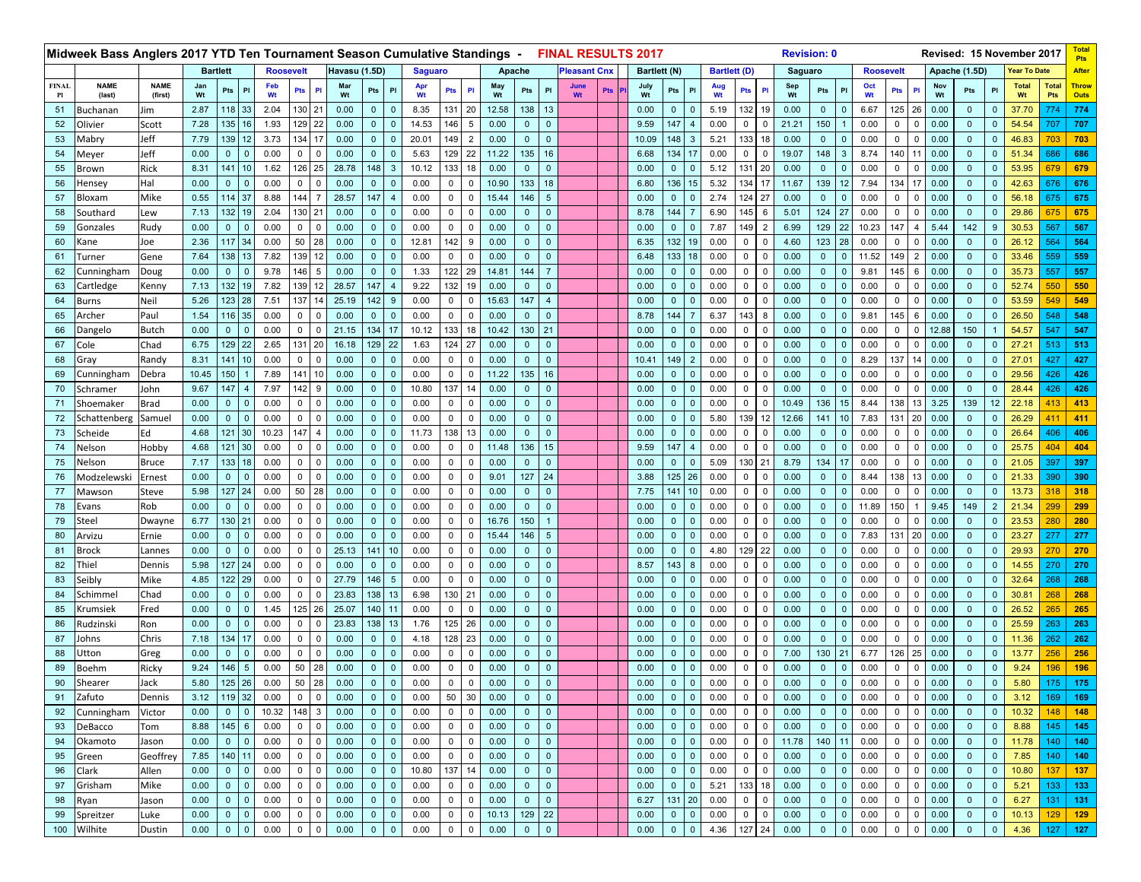|              | Midweek Bass Anglers 2017 YTD Ten Tournament Season Cumulative Standings - |                |                                                 |                              |                 |                  |                |                  |               |                |                 |                |               |                       |              |              |                | <b>FINAL RESULTS 2017</b> |            |                |                              |                |                     |                |                         | <b>Revision: 0</b> |                |                         |                  |                            |                |              |                             |                            | Revised: 15 November 2017 |                    | <b>Tota</b><br>Pts |
|--------------|----------------------------------------------------------------------------|----------------|-------------------------------------------------|------------------------------|-----------------|------------------|----------------|------------------|---------------|----------------|-----------------|----------------|---------------|-----------------------|--------------|--------------|----------------|---------------------------|------------|----------------|------------------------------|----------------|---------------------|----------------|-------------------------|--------------------|----------------|-------------------------|------------------|----------------------------|----------------|--------------|-----------------------------|----------------------------|---------------------------|--------------------|--------------------|
|              |                                                                            |                | <b>Bartlett</b>                                 |                              |                 | <b>Roosevelt</b> |                |                  | Havasu (1.5D) |                |                 | <b>Saguaro</b> |               |                       |              | Apache       |                | <b>Pleasant Cnx</b>       |            | Bartlett (N)   |                              |                | <b>Bartlett (D)</b> |                |                         | Saguaro            |                |                         | <b>Roosevelt</b> |                            |                |              | Apache (1.5D)               |                            | Year To Date              |                    | After              |
| <b>FINAL</b> | <b>NAME</b>                                                                | <b>NAME</b>    | Jan                                             | PI                           | Feb             | <b>Pts</b>       | PI             | Mar              | Pts           | PI             | Apr             | Pts            | $\mathsf{PI}$ | May                   | Pts          | PI           | <b>June</b>    | Pts                       | July<br>Wt | Pts            | P <sub>1</sub>               | Aug            | Pts                 | PI             | Sep<br>Wt               | Pts                | PI             | Oct                     | Pts              | PI                         | Nov            | Pts          | PI                          | <b>Total</b>               | <b>Total</b>              | <b>Throw</b>       |                    |
| Pl<br>51     | (last)<br>Buchanan                                                         | (first)<br>Jim | Wt<br>Wt<br>2.87<br>118 33<br>2.04<br>130<br>21 |                              |                 |                  |                | 0.00             | $\mathbf{0}$  | $\mathbf{0}$   | Wt<br>8.35      | 131 20         |               | 12.58                 | 138          | 13           | Wt             |                           | 0.00       | $\overline{0}$ | $\mathbf{0}$                 | Wt<br>5.19     | 132                 | 19             | 0.00                    | $\mathbf 0$        | $\mathbf 0$    | Wt<br>6.67              | 125              | 26                         | Wt<br>0.00     | $\mathbf 0$  | $\overline{0}$              | Wt<br>37.70                | <b>Pts</b><br>774         | <b>Outs</b><br>774 |                    |
| 52           | Olivier                                                                    | Scott          | 7.28                                            | 135 16                       |                 | 1.93             | 129            | 22               | 0.00          | $\mathbf 0$    | $\Omega$        | 14.53          | 146           | 5                     | 0.00         | $\mathbf 0$  | $\mathbf{0}$   |                           |            | 9.59           | 147                          |                | 0.00                | 0              |                         | 21.21              | 150            |                         | 0.00             | $\mathbf 0$                |                | 0.00         | $\mathbf{0}$                | $\overline{0}$             | 54.54                     | 707                | 707                |
| 53           | Mabry                                                                      | Jeff           | 7.79                                            | 139 12                       |                 | 3.73             | 134            | 17               | 0.00          | $\mathbf 0$    | $\mathbf{0}$    | 20.01          | 149 2         |                       | 0.00         | $\mathbf{0}$ | $\mathbf{0}$   |                           |            | 10.09          | 148                          | -3             | 5.21                | 133            | 18                      | 0.00               | $\mathbf 0$    | $\mathbf 0$             | 0.00             | $\mathbf 0$                | $\Omega$       | 0.00         | $\mathbf{0}$                | $\overline{0}$             | 46.83                     | 703                | 703                |
| 54           | Meyer                                                                      | Jeff           | 0.00                                            | $\mathbf{0}$                 | $\overline{0}$  | 0.00             | $\mathbf 0$    | $\Omega$         | 0.00          | $\mathbf 0$    | $\mathbf{0}$    | 5.63           |               | 129 22                | 11.22        | 135          | 16             |                           |            | 6.68           | 134                          | 17             | 0.00                | 0              | $\mathbf 0$             | 19.07              | 148            | 3                       | 8.74             | 140                        | $1^{\circ}$    | 0.00         | $\mathbf{0}$                | $\Omega$                   | 51.34                     | 686                | 686                |
| 55           | Brown                                                                      | Rick           | 8.31                                            | 141 10                       |                 | 1.62             | 126            | 25               | 28.78         | 148            | 3               | 10.12          | 133           | 18                    | 0.00         | $\mathbf{0}$ | $\Omega$       |                           |            | 0.00           | $\mathbf{0}$                 | $\Omega$       | 5.12                | 131            | 20                      | 0.00               | $\mathbf 0$    | $\Omega$                | 0.00             | $\mathbf 0$                |                | 0.00         | $\Omega$                    | $\Omega$                   | 53.95                     | 679                | 679                |
| 56           | Hensey                                                                     | Hal            | 0.00                                            | $\mathbf{0}$                 | $\overline{0}$  | 0.00             | $\overline{0}$ | 0                | 0.00          | $\mathbf 0$    | $\mathbf{0}$    | 0.00           | $\mathbf 0$   | $\mathbf 0$           | 10.90        | 133          | 18             |                           |            | 6.80           | 136                          | 15             | 5.32                | 134            | 17                      | 11.67              | 139            | 12                      | 7.94             | 134                        | 17             | 0.00         | $\mathbf 0$                 | $\mathbf 0$                | 42.63                     | 676                | 676                |
| 57           | Bloxam                                                                     | Mike           | 0.55                                            | 114 37                       |                 | 8.88             | 144            |                  | 28.57         | 147            |                 | 0.00           | $\mathbf 0$   | 0                     | 15.44        | 146          | 5              |                           |            | 0.00           | $\mathbf{0}$                 | $\overline{0}$ | 2.74                | 124            | 27                      | 0.00               | $\mathbf 0$    | $\mathbf 0$             | 0.00             | $\mathbf 0$                |                | 0.00         | $\mathbf{0}$                | $\overline{0}$             | 56.18                     | 675                | 675                |
| 58           | Southard                                                                   | Lew            | 7.13                                            | 132 19                       |                 | 2.04             | 130            | 21               | 0.00          | $\mathbf 0$    | $\mathbf{0}$    | 0.00           | $\mathbf 0$   | $\mathbf 0$           | 0.00         | $\mathbf 0$  | $\mathbf{0}$   |                           |            | 8.78           | 144                          |                | 6.90                | 145            | 6                       | 5.01               | 124            | 27                      | 0.00             | $\mathbf 0$                | $\Omega$       | 0.00         | $\mathbf{0}$                | $\Omega$                   | 29.86                     | 675                | 675                |
| 59           | Gonzales                                                                   | Rudy           | 0.00                                            | $\mathbf 0$                  | $\mathbf 0$     | 0.00             | $\mathbf 0$    | $\Omega$         | 0.00          | $\mathbf 0$    | $\mathbf{0}$    | 0.00           | $\mathbf 0$   | $\mathbf 0$           | 0.00         | $\mathbf 0$  | $\mathbf{0}$   |                           |            | 0.00           | $\mathbf{0}$                 | $\overline{0}$ | 7.87                | 149            | $\overline{2}$          | 6.99               | 129            | 22                      | 10.23            | 147                        |                | 5.44         | 142                         | 9                          | 30.53                     | 567                | 567                |
| 60           | Kane                                                                       | Joe            | 2.36                                            | 117 34                       |                 | 0.00             | 50             | 28               | 0.00          | $\mathbf 0$    | $\mathbf{0}$    | 12.81          | 142           | 9                     | 0.00         | $\mathbf{0}$ | $\Omega$       |                           |            | 6.35           | 132                          | 19             | 0.00                | 0              | 0                       | 4.60               | 123            | 28                      | 0.00             | $\mathbf 0$                | 0              | 0.00         | $\mathbf{0}$                | $\overline{0}$             | 26.12                     | 564                | 564                |
| 61           | Turner                                                                     | Gene           | 7.64                                            | 138 13                       |                 | 7.82             | 139            | 12               | 0.00          | $\mathbf 0$    | $\mathbf{0}$    | 0.00           | $\mathbf 0$   | $\mathbf 0$           | 0.00         | $\mathbf{0}$ | $\mathbf{0}$   |                           |            | 6.48           | 133                          | 18             | 0.00                | $\mathbf 0$    | $\mathbf 0$             | 0.00               | $\mathbf 0$    | $\mathbf 0$             | 11.52            | 149                        | $\overline{2}$ | 0.00         | $\mathbf 0$                 | $\Omega$                   | 33.46                     | 559                | 559                |
| 62           | Cunningham                                                                 | Doug           | 0.00                                            | $\mathbf 0$                  | $\mathbf 0$     | 9.78             | 146            | 5                | 0.00          | $\mathbf 0$    | $\Omega$        | 1.33           | 122           | 29                    | 14.81        | 144          |                |                           |            | 0.00           | $\mathbf{0}$                 | $\Omega$       | 0.00                | 0              | $\Omega$                | 0.00               | $\mathbf 0$    | $\mathbf 0$             | 9.81             | 145                        | 6              | 0.00         | $\mathbf{0}$                | $\overline{0}$             | 35.73                     | 557                | 557                |
| 63           | Cartledge                                                                  | Kenny          | 7.13                                            | 132 19                       |                 | 7.82             | 139            | 12               | 28.57         | 147            | $\overline{4}$  | 9.22           | 132           | 19                    | 0.00         | $\mathbf{0}$ | $\Omega$       |                           |            | 0.00           | $\mathbf{0}$                 | $\mathbf 0$    | 0.00                | 0              | $\mathbf 0$             | 0.00               | $\mathbf 0$    | $\mathbf 0$             | 0.00             | $\mathbf 0$                | $\Omega$       | 0.00         | $\mathbf{0}$                | $\overline{0}$             | 52.74                     | 550                | 550                |
| 64           | Burns                                                                      | Neil           | 5.26                                            | 123 28                       |                 | 7.51             | 137            | 14               | 25.19         | 142            | 9               | 0.00           | $\mathbf 0$   | $\mathbf 0$           | 15.63        | 147          | $\overline{4}$ |                           |            | 0.00           | $\mathbf{0}$                 | $\overline{0}$ | 0.00                | $\mathbf 0$    | $\Omega$                | 0.00               | $\mathbf 0$    | $\mathbf 0$             | 0.00             | $\mathsf 0$                | $\Omega$       | 0.00         | $\mathbf{0}$                | $\Omega$                   | 53.59                     | 549                | 549                |
| 65           | Archer                                                                     | Paul           | 1.54                                            | 116 35                       |                 | 0.00             | $\mathbf{0}$   | $\Omega$         | 0.00          | $\mathbf 0$    | $\Omega$        | 0.00           | $\mathbf{0}$  | $\mathbf 0$           | 0.00         | $\mathbf{0}$ | $\Omega$       |                           |            | 8.78           | 144                          |                | 6.37                | 143            | 8                       | 0.00               | $\mathbf 0$    | $\Omega$                | 9.81             | 145                        | 6              | 0.00         | $\mathbf{0}$                | $\Omega$                   | 26.50                     | 548                | 548                |
| 66           | Dangelo                                                                    | <b>Butch</b>   | 0.00                                            | $\mathbf{0}$                 | $\mathbf 0$     | 0.00             | $\overline{0}$ | 0                | 21.15         | 134            | 17              | 10.12          |               | 133 18                | 10.42        | 130          | 21             |                           |            | 0.00           | $\overline{0}$               | $\mathbf 0$    | 0.00                | $\mathbf 0$    | $\mathbf 0$             | 0.00               | $\mathbf 0$    | $\mathbf 0$             | 0.00             | $\mathbf 0$                | $\mathbf 0$    | 12.88        | 150                         |                            | 54.57                     | 547                | 547                |
| 67           | Cole                                                                       | Chad           | 6.75                                            | 129 22                       |                 | 2.65             | 131            | 20               | 16.18         | 129            | 22              | 1.63           | 124           | 27                    | 0.00         | $\mathbf{0}$ | $\mathbf{0}$   |                           |            | 0.00           | $\mathbf 0$                  | $\overline{0}$ | 0.00                | 0              |                         | 0.00               | $\mathbf 0$    | $\mathbf 0$             | 0.00             | $\mathbf 0$                |                | 0.00         | $\mathbf{0}$                | $\overline{0}$             | 27.21                     | 513                | 513                |
| 68           | Gray                                                                       | Randy          | 8.31                                            | 141 10                       |                 | 0.00             | $\mathbf{0}$   | $\Omega$         | 0.00          | $\mathbf 0$    | $\mathbf{0}$    | 0.00           | 0             | $\mathbf 0$           | 0.00         | $\mathbf 0$  | $\mathbf{0}$   |                           |            | 10.41          | 149                          | $\overline{2}$ | 0.00                | 0              | $\mathbf 0$             | 0.00               | $\mathbf 0$    | $\mathbf 0$             | 8.29             | 137                        | 14             | 0.00         | $\mathbf{0}$                | $\Omega$                   | 27.01                     | 427                | 427                |
| 69           | Cunningham                                                                 | Debra          | 10.45                                           | 150                          |                 | 7.89             | 141            | 10               | 0.00          | $\mathbf 0$    | $\mathbf{0}$    | 0.00           | $\mathbf 0$   | $\mathbf 0$           | 11.22        | 135          | 16             |                           |            | 0.00           | $\mathbf 0$                  | $\Omega$       | 0.00                | 0              | 0                       | 0.00               | $\mathbf 0$    | $\mathbf 0$             | 0.00             | $\mathsf 0$                | $\Omega$       | 0.00         | $\mathbf{0}$                | $\overline{0}$             | 29.56                     | 426                | 426                |
| 70           | Schramer                                                                   | John           | 9.67                                            | 147                          |                 | 7.97             | 142            | 9                | 0.00          | $\mathbf 0$    | $\mathbf{0}$    | 10.80          | 137           | 14                    | 0.00         | $\mathbf{0}$ | $\Omega$       |                           |            | 0.00           | $\mathbf{0}$                 | $\mathbf{0}$   | 0.00                | 0              | $^{\circ}$              | 0.00               | $\mathbf 0$    | $\Omega$                | 0.00             | $\mathbf 0$                | $\Omega$       | 0.00         | $\mathbf{0}$                | $\overline{0}$             | 28.44                     | 426                | 426                |
| 71           | Shoemaker                                                                  | Brad           | 0.00                                            | $\mathbf{0}$                 | $\mathbf 0$     | 0.00             | $\mathbf{0}$   | 0                | 0.00          | $\mathbf 0$    | $\mathbf{0}$    | 0.00           | 0             | $\mathbf 0$           | 0.00         | $\mathbf 0$  | $\mathbf{0}$   |                           |            | 0.00           | $\mathbf{0}$                 | $\overline{0}$ | 0.00                | $\mathbf 0$    | $\mathbf{0}$            | 10.49              | 136            | 15                      | 8.44             | 138                        | 13             | 3.25         | 139                         | 12                         | 22.18                     | 413                | 413                |
| 72           | Schattenberg                                                               | Samue          | 0.00                                            | $\mathbf 0$                  | $\mathbf{0}$    | 0.00             | $\mathbf 0$    | $\Omega$         | 0.00          | $\mathbf 0$    | $\Omega$        | 0.00           | $\mathbf 0$   | $\mathbf 0$           | 0.00         | $\mathbf 0$  | $\mathbf{0}$   |                           |            | 0.00           | $\mathbf{0}$                 | $\overline{0}$ | 5.80                | 139            | 12                      | 12.66              | 141            | 10                      | 7.83             | 131                        | 20             | 0.00         | $\mathbf{0}$                | $\overline{0}$             | 26.29                     |                    | 411                |
| 73           | Scheide                                                                    | Ed             | 4.68                                            | 121 30                       |                 | 10.23            | 147            | 4                | 0.00          | $\mathbf 0$    | $\mathbf{0}$    | 11.73          |               | 138 13                | 0.00         | $\mathbf{0}$ | $\mathbf{0}$   |                           |            | 0.00           | $\overline{0}$               | $\overline{0}$ | 0.00                | $\mathbf 0$    | $^{\circ}$              | 0.00               | $\mathbf 0$    | $\mathbf 0$             | 0.00             | $\mathbf 0$                | $\mathbf 0$    | 0.00         | $\mathbf{0}$                | $\overline{0}$             | 26.64                     | 406                | 406                |
| 74           | Nelson                                                                     | Hobby          | 4.68                                            | 121 30                       |                 | 0.00             | $\mathbf 0$    | $\mathbf 0$      | 0.00          | $\mathbf 0$    | $\mathbf{0}$    | 0.00           | $\mathbf 0$   | $\mathbf 0$           | 11.48        | 136          | 15             |                           |            | 9.59           | 147                          |                | 0.00                | $\mathbf 0$    | $\Omega$                | 0.00               | $\mathbf 0$    | $\mathbf 0$             | 0.00             | $\mathbf 0$                | $\Omega$       | 0.00         | $\mathbf{0}$                | $\Omega$                   | 25.75                     | 404                | 404                |
| 75           | Nelson                                                                     | <b>Bruce</b>   | 7.17                                            | 133 18                       |                 | 0.00             | $\mathbf{0}$   | $\Omega$         | 0.00          | $\mathbf 0$    | $\mathbf{0}$    | 0.00           | $\mathbf 0$   | $\mathbf 0$           | 0.00         | $\mathbf{0}$ | $\Omega$       |                           |            | 0.00           | $\mathbf{0}$                 | $\Omega$       | 5.09                | 130            | 21                      | 8.79               | 134            | 17                      | 0.00             | 0                          | $\Omega$       | 0.00         | $\mathbf{0}$                | $\overline{0}$             | 21.05                     | 397                | 397                |
| 76           |                                                                            | Ernest         | 0.00                                            | $\overline{0}$               | $\mathbf 0$     | 0.00             | $\overline{0}$ | 0                | 0.00          | $\mathbf 0$    | $\mathbf{0}$    | 0.00           | $\mathbf 0$   | $\mathbf 0$           | 9.01         | 127          | 24             |                           |            | 3.88           | 125                          | 26             | 0.00                | $\mathbf 0$    | $\mathbf 0$             | 0.00               | $\mathbf 0$    | $\mathbf 0$             | 8.44             | 138                        | 13             | 0.00         | $\mathbf{0}$                | $\mathbf 0$                | 21.33                     | 390                | 390                |
| 77           | Modzelewski                                                                |                | 5.98                                            | 127 24                       |                 | 0.00             | 50             | 28               | 0.00          | $\mathbf 0$    |                 | 0.00           | $\mathbf 0$   | $\mathbf 0$           | 0.00         | $\mathbf{0}$ | $\mathbf{0}$   |                           |            | 7.75           | 141                          | 10             | 0.00                | 0              | $\mathbf 0$             | 0.00               | $\mathbf 0$    | $\mathbf{0}$            | 0.00             | $\mathbf 0$                |                | 0.00         | $\mathbf{0}$                | $\overline{0}$             | 13.73                     | 318                | 318                |
|              | Mawson                                                                     | Steve<br>Rob   | 0.00                                            | $\overline{0}$               | $\overline{0}$  | 0.00             | $\mathbf{0}$   | $\mathbf 0$      | 0.00          | $\mathbf 0$    | $\mathbf{0}$    | 0.00           | $\mathbf{0}$  | $\mathbf 0$           | 0.00         | $\mathbf{0}$ | $\mathbf{0}$   |                           |            | 0.00           | $\mathbf{0}$                 | $\overline{0}$ | 0.00                | 0              | $\mathbf 0$             | 0.00               | $\mathbf 0$    | $\mathbf{0}$            | 11.89            | 150                        |                | 9.45         | 149                         | $\overline{2}$             | 21.34                     | 299                | 299                |
| 78<br>79     | Evans                                                                      |                | 6.77                                            | 130 21                       |                 | 0.00             | $\mathbf 0$    | 0                | 0.00          | $\mathbf 0$    | $\mathbf{0}$    | 0.00           | $\mathbf 0$   | $\mathbf 0$           | 16.76        | 150          |                |                           |            | 0.00           | $\mathbf 0$                  | $\overline{0}$ | 0.00                | 0              | $\mathbf 0$             | 0.00               | $\mathbf 0$    | $\mathbf{0}$            | 0.00             | $\mathbf 0$                | $\Omega$       | 0.00         | $\mathbf{0}$                | $\overline{0}$             | 23.53                     | 280                | 280                |
| 80           | Steel                                                                      | Dwayne         | 0.00                                            | $\mathbf 0$                  | $\mathbf 0$     | 0.00             | $\mathbf{0}$   | $\Omega$         | 0.00          | $\mathbf 0$    | $\Omega$        | 0.00           | $\mathbf 0$   | 0                     | 15.44        | 146          | 5              |                           |            | 0.00           | $\mathbf{0}$                 | $\overline{0}$ | 0.00                | 0              | $\Omega$                | 0.00               | $\mathbf 0$    | $\mathbf{0}$            | 7.83             | 131                        | 20             | 0.00         | $\mathbf{0}$                | $\overline{0}$             | 23.27                     | 277                | 277                |
| 81           | Arvizu                                                                     | Ernie          | 0.00                                            | $\mathbf{0}$                 | $\mathbf 0$     | 0.00             | $\overline{0}$ | 0                | 25.13         | 141            | 10 <sup>1</sup> | 0.00           | $\mathbf 0$   | $\mathbf 0$           | 0.00         | $\mathbf 0$  | $\mathbf{0}$   |                           |            | 0.00           | $\mathbf{0}$                 | $\overline{0}$ | 4.80                | 129            | 22                      | 0.00               | $\mathbf 0$    | $\mathbf 0$             | 0.00             | $\mathsf 0$                | $\Omega$       | 0.00         | $\mathbf{0}$                | $\Omega$                   | 29.93                     | 270                | 270                |
| 82           | Brock<br>Thiel                                                             | Lannes         | 5.98                                            | 127 24                       |                 | 0.00             | $\overline{0}$ | $\Omega$         | 0.00          | $\mathbf 0$    |                 | 0.00           | $\mathbf 0$   | $\mathbf 0$           | 0.00         | $\mathbf 0$  | $\mathbf{0}$   |                           |            | 8.57           | 143                          | -8             | 0.00                | 0              | $\mathbf 0$             | 0.00               | $\mathbf 0$    | $\mathbf 0$             | 0.00             | $\mathsf 0$                |                | 0.00         | $\mathbf{0}$                | $\overline{0}$             | 14.55                     | 270                | 270                |
|              |                                                                            | Dennis         |                                                 |                              |                 |                  |                |                  | 27.79         |                | 5 <sup>5</sup>  | 0.00           |               |                       |              |              | $\mathbf{0}$   |                           |            |                | $\overline{0}$               |                |                     |                |                         |                    |                |                         | 0.00             |                            |                | 0.00         | $\mathbf{0}$                |                            | 32.64                     |                    |                    |
| 83           | Seibly                                                                     | Mike           | 4.85<br>0.00                                    | 122 29<br>$\mathbf 0$        |                 | 0.00             | $\mathbf{0}$   | 0<br>$\mathbf 0$ | 23.83         | 146            |                 | 6.98           | 0             | $\mathbf 0$           | 0.00<br>0.00 | $\mathbf{0}$ | $\mathbf{0}$   |                           |            | 0.00<br>0.00   |                              | $\mathbf{0}$   | 0.00<br>0.00        | 0              | 0                       | 0.00               | $\mathbf 0$    | $\mathbf 0$             | 0.00             | $\mathbf 0$<br>$\mathbf 0$ | 0<br>$\Omega$  | 0.00         | $\mathbf{0}$                | $\overline{0}$<br>$\Omega$ | 30.81                     | 268                | 268                |
| 84           | Schimmel                                                                   | Chad           |                                                 |                              | $\mathbf 0$     | 0.00             | $\mathbf 0$    |                  |               | 138            | 13              |                | 130 21        |                       |              | $\mathbf 0$  | $\Omega$       |                           |            |                | $\mathbf{0}$                 | $\overline{0}$ |                     | 0              | $\mathbf 0$             | 0.00               | $\mathbf 0$    | $\mathbf 0$<br>$\Omega$ |                  |                            | $\Omega$       |              | $\Omega$                    | $\Omega$                   |                           | 268                | 268                |
| 85           | Krumsiek                                                                   | Fred           | 0.00                                            | $\mathbf{0}$<br>$\mathbf{0}$ | $\mathbf 0$     | 1.45<br>0.00     | 125            | 26               | 25.07         | 140            | 11              | 0.00           | $\mathbf{0}$  | $\mathbf 0$<br>125 26 | 0.00<br>0.00 | $\mathbf{0}$ | $\mathbf{0}$   |                           |            | 0.00<br>0.00   | $\mathbf{0}$<br>$\mathbf{0}$ | $\overline{0}$ | 0.00                | 0              | $\Omega$<br>$\mathbf 0$ | 0.00               | $\mathbf 0$    | $\mathbf 0$             | 0.00             | $\mathbf 0$<br>$\mathbf 0$ | $\mathbf 0$    | 0.00<br>0.00 |                             | $\overline{0}$             | 26.52                     |                    | 265                |
| 86           | Rudzinski                                                                  | Ron            | 0.00                                            | 134 17                       | $\mathbf 0$     |                  | $\mathbf{0}$   | 0<br>$\Omega$    | 23.83<br>0.00 | 138            | 13              | 1.76           | 128 23        |                       | 0.00         | $\mathbf 0$  | $\Omega$       |                           |            | 0.00           | $\Omega$                     | $\overline{0}$ | 0.00                | 0              |                         | 0.00               | $\mathbf 0$    |                         | 0.00             | $\overline{0}$             |                | 0.00         | $\mathbf 0$<br>$\mathbf{0}$ |                            | 25.59                     | 263                | 263                |
| 87           | Iohns                                                                      | Chris          | 7.18                                            |                              |                 | 0.00             | $\mathbf{0}$   |                  |               | $\mathbf 0$    |                 | 4.18           |               |                       |              | $\mathbf{0}$ |                |                           |            |                |                              | $\overline{0}$ | 0.00                | 0              |                         | 0.00               | $\mathbf 0$    | $\mathbf 0$             | 0.00             |                            |                |              |                             | $\mathbf{0}$               | 11.36                     | 262                | 262                |
| 88           | Utton                                                                      | Greg           | 0.00                                            | $\mathbf 0$                  | $\overline{0}$  | 0.00             | $\mathbf{0}$   | $\mathbf 0$      | 0.00          | $\mathbf 0$    | $\mathbf{0}$    | 0.00           | 0             | $\mathbf 0$           | 0.00         | $\mathbf{0}$ | $\mathbf{0}$   |                           |            | 0.00<br>0.00   | $\mathbf{0}$                 | $\overline{0}$ | 0.00                | $\mathbf 0$    | $\mathbf 0$             | 7.00               | 130            | 21                      | 6.77             | 126                        | 25             | 0.00         | $\mathbf{0}$                | $\Omega$                   | 13.77                     | 256                | 256                |
| 89           | Boehm                                                                      | Ricky          | 9.24                                            | 146                          | $5\overline{)}$ | 0.00             | 50             | 28               | 0.00          | $\mathbf 0$    | $\mathbf{0}$    | 0.00           | $\mathbf 0$   | $\mathbf 0$           | 0.00         | $\mathbf 0$  | $\mathbf{0}$   |                           |            |                | $\mathbf{0}$                 | $\overline{0}$ | 0.00                | $\mathbf 0$    | $\Omega$                | 0.00               | $\mathbf 0$    | $\mathbf{0}$            | 0.00             | $\mathbf 0$                | $\Omega$       | 0.00         | $\mathbf{0}$                | $\mathbf{0}$               | 9.24                      | 196                | 196                |
| 90           | Shearer                                                                    | Jack           | 5.80                                            | $125$ 26                     |                 | 0.00             | 50             | 28               | 0.00          | $\mathbf 0$    | $\mathbf{0}$    | 0.00           | $\mathbf 0$   | $\mathbf 0$           | 0.00         | $\Omega$     | $\mathbf{0}$   |                           |            | 0.00           | $\mathbf{0}$                 | $\Omega$       | 0.00                | $\mathbf 0$    | 0                       | 0.00               | $\mathbf 0$    | $\mathbf 0$             | 0.00             | $\overline{0}$             | $\mathbf 0$    | 0.00         | $\Omega$                    | $\mathbf{0}$               | 5.80                      | 175                | 175                |
| 91           | Zafuto                                                                     | Dennis         | 3.12                                            | 119 32                       |                 | 0.00             | 0              | $\mathsf 0$      | 0.00          | $\overline{0}$ | $\overline{0}$  | 0.00           | 50 30         |                       | 0.00         | $\mathbf{0}$ | $\overline{0}$ |                           |            | 0.00           | $\overline{0}$               | $\overline{0}$ | 0.00                | $\mathbf 0$    | $\mathbf{0}$            | 0.00               | $\mathbf{0}$   | $\mathbf{0}$            | 0.00             | $\mathbf 0$                | 0              | 0.00         | $\mathbf 0$                 | $\mathbf 0$                | 3.12                      | 169                | 169                |
| 92           | Cunningham                                                                 | Victor         | 0.00                                            | $0 \mid 0$                   |                 | 10.32            | 148            | $\mathsf 3$      | 0.00          | $\mathbf 0$    | $\mathbf{0}$    | 0.00           | $\mathbf 0$   | $\mathbf 0$           | 0.00         | $\mathbf{0}$ | $\mathbf{0}$   |                           |            | 0.00           | $\overline{0}$               | $\overline{0}$ | 0.00                | 0              | $\mathbf 0$             | 0.00               | $\mathbf 0$    | $\mathbf 0$             | 0.00             | $\mathbf 0$                | $\mathbf 0$    | 0.00         | $\mathbf 0$                 | $\mathbf 0$                | 10.32                     | 148                | 148                |
| 93           | DeBacco                                                                    | Tom            | 8.88                                            | 145 6                        |                 | 0.00             | $\overline{0}$ | $\mathbf 0$      | 0.00          | $\mathbf{0}$   | $\mathbf{0}$    | 0.00           | $\mathbf 0$   | $\mathbf 0$           | 0.00         | $\mathbf{0}$ | $\overline{0}$ |                           |            | 0.00           | $\overline{0}$               | $\mathbf{0}$   | 0.00                | $\mathbf{0}$   | $\mathbf{0}$            | 0.00               | $\mathbf{0}$   | $\mathbf{0}$            | 0.00             | $\mathbf 0$                | 0              | 0.00         | $\mathbf{0}$                | $\mathbf 0$                | 8.88                      |                    | $145$ 145          |
| 94           | Okamoto                                                                    | Jason          | 0.00                                            | $0 \mid 0$                   |                 | 0.00             | $\overline{0}$ | $\mathbf 0$      | 0.00          | $\mathbf 0$    | $\overline{0}$  | 0.00           | $\mathbf 0$   | $\mathbf 0$           | 0.00         | $\mathbf{0}$ | $\overline{0}$ |                           |            | 0.00           | $\mathbf{0}$                 | $\mathbf 0$    | 0.00                | $\mathbf 0$    | $\mathbf{0}$            | 11.78              | 140            | 11                      | 0.00             | $\mathbf 0$                | 0              | 0.00         | $\mathbf 0$                 | $\mathbf 0$                | 11.78                     | 140                | 140                |
| 95           | Green                                                                      | Geoffrey       | 7.85                                            | 140 11                       |                 | 0.00             | $\overline{0}$ | 0                | 0.00          | $\mathbf 0$    | $\mathbf 0$     | 0.00           | $\mathbf 0$   | $\mathbf 0$           | 0.00         | $\mathbf{0}$ | $\mathbf 0$    |                           |            | 0.00           | $\overline{0}$               | $\mathbf 0$    | 0.00                | $\mathbf 0$    | $\mathbf 0$             | 0.00               | $\mathbf 0$    | $\mathbf 0$             | 0.00             | $\mathbf{0}$               | $\mathbf 0$    | 0.00         | $\mathbf{0}$                | $\mathbf 0$                | 7.85                      |                    | 140 140            |
| 96           | <b>Clark</b>                                                               | Allen          | 0.00                                            | $0 \mid 0$                   |                 | 0.00             | $\overline{0}$ | $\mathbf 0$      | 0.00          | $\mathbf{0}$   | $\mathbf{0}$    | 10.80          | 137 14        |                       | 0.00         | $\mathbf{0}$ | $\overline{0}$ |                           |            | 0.00           | $\overline{0}$               | $\overline{0}$ | 0.00                | $\overline{0}$ | $\mathbf 0$             | 0.00               | $\overline{0}$ | $\mathbf{0}$            | 0.00             | $\overline{0}$             | 0              | 0.00         | $\mathbf 0$                 | $\mathbf 0$                | 10.80                     |                    | $137$   137        |
| 97           | Grisham                                                                    | Mike           | 0.00                                            | 0 0                          |                 | 0.00             | $\overline{0}$ | 0                | 0.00          | $\mathbf 0$    | $\mathbf{0}$    | 0.00           | 0             | $\overline{0}$        | 0.00         | $\mathbf{0}$ | $\mathbf 0$    |                           |            | 0.00           | $\mathbf{0}$                 | $\overline{0}$ | 5.21                | 133            | 18                      | 0.00               | $\mathbf 0$    | $\mathbf 0$             | 0.00             | $\mathbf 0$                | $\mathbf 0$    | 0.00         | $\mathbf 0$                 | $\mathbf{0}$               | 5.21                      | 133                | 133                |
| 98           | Ryan                                                                       | Jason          | 0.00                                            | $0 \mid 0$                   |                 | 0.00             | $\overline{0}$ | $\mathbf 0$      | 0.00          | $\mathbf 0$    | $\mathbf{0}$    | 0.00           | $\mathbf 0$   | $\mathbf 0$           | 0.00         | $\mathbf{0}$ | $\overline{0}$ |                           |            | 6.27           | 131 20                       |                | 0.00                | $\overline{0}$ | $\mathbf 0$             | 0.00               | $\mathbf{0}$   | $\overline{0}$          | 0.00             | $\mathbf 0$                | 0              | 0.00         | $\mathbf 0$                 | $\mathbf 0$                | 6.27                      | 131                | 131                |
| 99           | Spreitzer                                                                  | Luke           | 0.00                                            | $\pmb{0}$                    | $\overline{0}$  | 0.00             | $\overline{0}$ | 0                | 0.00          | $\mathbf 0$    | $\mathbf 0$     | 0.00           | $\mathbf 0$   | $\mathbf 0$           | 10.13        | 129          | 22             |                           |            | 0.00           | $\mathbf 0$                  | $\mathbf 0$    | 0.00                | $\mathbf 0$    | $\mathbf 0$             | 0.00               | $\mathbf 0$    | $\mathbf 0$             | 0.00             | $\mathsf{O}$               | 0              | 0.00         | $\mathbf 0$                 | $\mathbf 0$                | 10.13                     |                    | $129$ 129          |
|              | 100 Wilhite                                                                | Dustin         | 0.00                                            | $\pmb{0}$                    | $\overline{0}$  | 0.00             | $\overline{0}$ | 0                | 0.00          | $\mathbf 0$    | $\mathbf 0$     | 0.00           | 0             | $\mathbf 0$           | 0.00         | $\mathbf 0$  | $\mathbf 0$    |                           |            | 0.00           | $\overline{0}$               | $\mathbf 0$    | 4.36                | 127 24         |                         | 0.00               | $\mathbf{0}$   | $\mathbf 0$             | 0.00             | $\mathbf 0$                | 0              | 0.00         | $\pmb{0}$                   | $\mathbf 0$                | 4.36                      | 127                | 127                |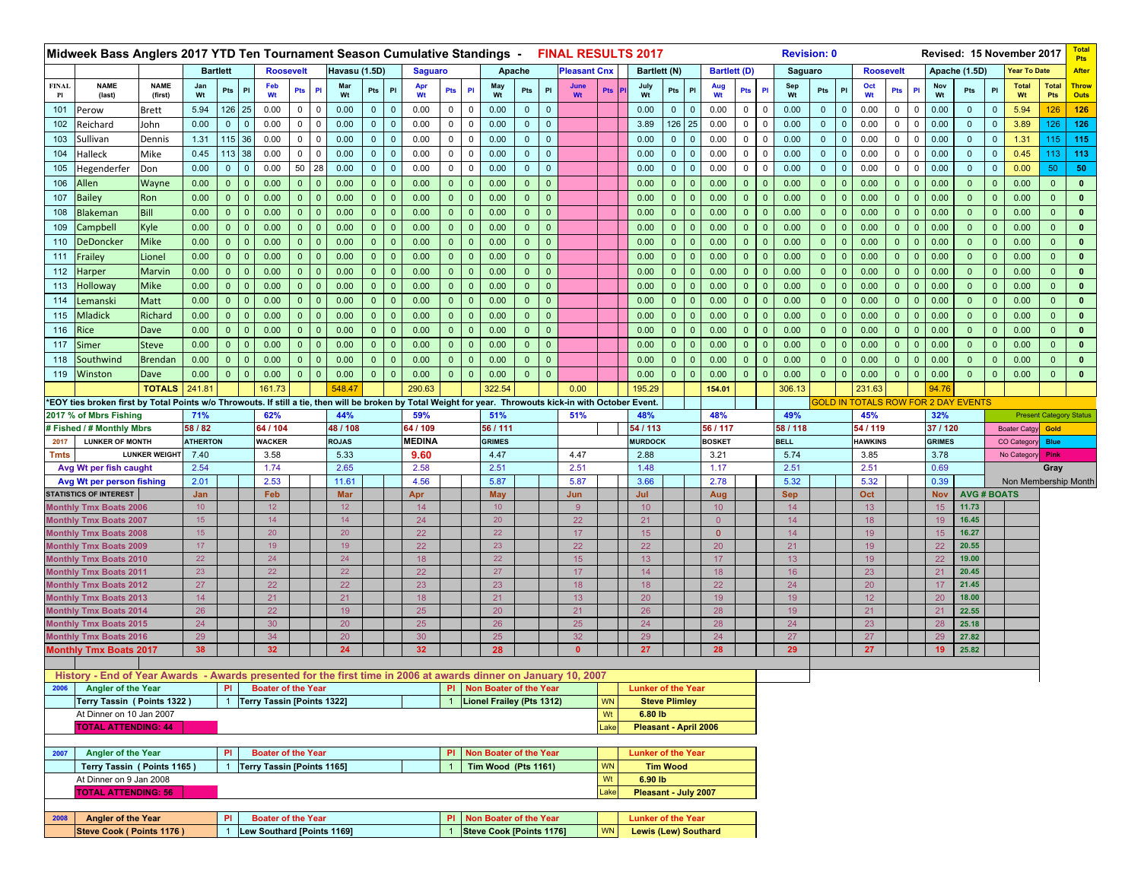|                    | Midweek Bass Anglers 2017 YTD Ten Tournament Season Cumulative Standings - FINAL RESULTS 2017                                                             |                        |                        |                |                |                           |                |                                   |                              |                |                |                         |                                                       |              |              |                     |            |                                                          |                      |                |                        |                |                | <b>Revision: 0</b> |                |              |                                            |                |                |                  |                           |                | Revised: 15 November 2017 |                                | <b>Total</b><br><b>Pts</b>  |
|--------------------|-----------------------------------------------------------------------------------------------------------------------------------------------------------|------------------------|------------------------|----------------|----------------|---------------------------|----------------|-----------------------------------|------------------------------|----------------|----------------|-------------------------|-------------------------------------------------------|--------------|--------------|---------------------|------------|----------------------------------------------------------|----------------------|----------------|------------------------|----------------|----------------|--------------------|----------------|--------------|--------------------------------------------|----------------|----------------|------------------|---------------------------|----------------|---------------------------|--------------------------------|-----------------------------|
|                    |                                                                                                                                                           |                        | <b>Bartlett</b>        |                |                | <b>Roosevelt</b>          |                |                                   | Havasu (1.5D)                | <b>Saguaro</b> |                |                         | Apache                                                |              |              | <b>Pleasant Cnx</b> |            | Bartlett (N)                                             |                      |                | <b>Bartlett (D)</b>    |                |                | Saguaro            |                |              | <b>Roosevelt</b>                           |                |                |                  | Apache (1.5D)             |                | Year To Date              |                                | <b>After</b>                |
| <b>FINAL</b><br>Pl | <b>NAME</b><br>(last)                                                                                                                                     | <b>NAME</b><br>(first) | Jan<br>Wt              | Pts            | PI             | Feb<br>Wt                 | Pts            | Mar<br>PI<br>Wt                   | PI<br>Pts                    | Apr<br>Wt      | Pts            | PI                      | May<br>Wt                                             | Pts          | PI           | June<br>Wt          | <b>Pts</b> | July<br>Wt                                               | Pts                  | P              | Aug<br>Wt              | <b>Pts</b>     | P1             | Sep<br>Wt          | Pts            | PI           | Oct<br>Wt                                  | Pts            | PI             | Nov<br>Wt        | Pts                       | P              | <b>Total</b><br>Wt        | <b>Total</b><br><b>Pts</b>     | <b>Throw</b><br><b>Outs</b> |
| 101                | Perow                                                                                                                                                     | <b>Brett</b>           | 5.94                   | 126 25         |                | 0.00                      | $\overline{0}$ | $\mathbf 0$<br>0.00               | $\mathbf{0}$<br>$\mathbf{0}$ | 0.00           | 0              | $\mathbf 0$             | 0.00                                                  | $\mathbf{0}$ | $\mathbf 0$  |                     |            | 0.00                                                     | $\mathbf{0}$         | $\mathbf{0}$   | 0.00                   | 0              | $\Omega$       | 0.00               | $\mathbf 0$    | $\mathbf 0$  | 0.00                                       | $\mathbf{0}$   | $\Omega$       | 0.00             | $\mathbf{0}$              | $\mathbf{0}$   | 5.94                      | 126                            | 126                         |
| 102                | Reichard                                                                                                                                                  | John                   | 0.00                   | $0-1$          | $\overline{0}$ | 0.00                      | $\mathbf{0}$   | $\mathbf 0$<br>0.00               | $\mathbf 0$<br>$\mathbf 0$   | 0.00           | $\mathbf 0$    | $\overline{0}$          | 0.00                                                  | $\mathbf{0}$ | $\mathbf 0$  |                     |            | 3.89                                                     | 126                  | 25             | 0.00                   | $\mathbf 0$    | $\mathbf 0$    | 0.00               | $\mathbf 0$    | $\mathbf 0$  | 0.00                                       | $\mathbf{0}$   | $\mathbf 0$    | 0.00             | $\mathbf{0}$              | $\overline{0}$ | 3.89                      | 126                            | 126                         |
| 103                | Sullivan                                                                                                                                                  | Dennis                 | 1.31                   | 115 36         |                | 0.00                      | $\mathbf{0}$   | 0.00<br>0                         | $\mathbf 0$<br>$\mathbf 0$   | 0.00           | $\mathbf 0$    | 0                       | 0.00                                                  | $\mathbf 0$  | $\mathbf{0}$ |                     |            | 0.00                                                     | $\mathbf{0}$         | $\overline{0}$ | 0.00                   | 0              | $\Omega$       | 0.00               | $\mathbf{0}$   | $\mathbf{0}$ | 0.00                                       | 0              | $\mathbf 0$    | 0.00             | $\mathbf{0}$              | $\mathbf 0$    | 1.31                      | 115 <sub>1</sub>               | 115                         |
| 104                | Halleck                                                                                                                                                   | Mike                   | 0.45                   | 113 38         |                | 0.00                      | $\overline{0}$ | $\mathbf 0$<br>0.00               | $\mathbf{0}$<br>$\mathbf{0}$ | 0.00           | $\mathbf 0$    | $\overline{0}$          | 0.00                                                  | $\mathbf{0}$ | $\mathbf{0}$ |                     |            | 0.00                                                     | $\mathbf{0}$         | $\overline{0}$ | 0.00                   | $\mathbf 0$    | $\overline{0}$ | 0.00               | $\mathbf 0$    | $\mathbf{0}$ | 0.00                                       | $\mathbf 0$    | $\Omega$       | 0.00             | $\overline{0}$            | $\Omega$       | 0.45                      |                                | $113$ 113                   |
| 105                | Hegenderfer                                                                                                                                               | Don                    | 0.00                   | $\mathbf{0}$   | $\mathbf{0}$   | 0.00                      | 50             | 28<br>0.00                        | $\mathbf{0}$<br>$\mathbf 0$  | 0.00           | $\mathbf 0$    | $\mathbf 0$             | 0.00                                                  | $\mathbf{0}$ | $\mathbf{0}$ |                     |            | 0.00                                                     | $\mathbf{0}$         | $\Omega$       | 0.00                   | $\mathbf 0$    | $\mathbf 0$    | 0.00               | $\mathbf 0$    | $\mathbf{0}$ | 0.00                                       | $\mathbf 0$    | $\Omega$       | 0.00             | $\mathbf{0}$              | $\Omega$       | 0.00                      | 50                             | 50                          |
| 106                | Allen                                                                                                                                                     | Wayne                  | 0.00                   | 0 <sup>1</sup> | $\mathbf{0}$   | 0.00                      | $\overline{0}$ | 0.00<br>$\mathbf{0}$              | $\mathbf{0}$<br>$\Omega$     | 0.00           | $\mathbf{0}$   | $\overline{0}$          | 0.00                                                  | $\mathbf{0}$ | $\Omega$     |                     |            | 0.00                                                     | $\mathbf{0}$         | 0              | 0.00                   | $\mathbf{0}$   | - 0            | 0.00               | $\mathbf{0}$   | $\mathbf{0}$ | 0.00                                       | $\mathbf{0}$   | $\mathbf 0$    | 0.00             | $\mathbf{0}$              | $\mathbf{0}$   | 0.00                      | $\mathbf{0}$                   | $\mathbf 0$                 |
| 107                | <b>Bailey</b>                                                                                                                                             | Ron                    | 0.00                   | 0              | $\mathbf{0}$   | 0.00                      | $\overline{0}$ | 0.00<br>$\mathbf 0$               | $\mathbf{0}$<br>$\mathbf{0}$ | 0.00           | $\overline{0}$ | $\overline{\mathbf{0}}$ | 0.00                                                  | $\mathbf{0}$ | $\mathbf{0}$ |                     |            | 0.00                                                     | $\overline{0}$       | $\Omega$       | 0.00                   | $\mathbf{0}$   | $\overline{0}$ | 0.00               | $\overline{0}$ | $\mathbf{0}$ | 0.00                                       | $\mathbf{0}$   | $\Omega$       | 0.00             | $\mathbf{0}$              | $\Omega$       | 0.00                      | $\mathbf{0}$                   | $\mathbf{0}$                |
| 108                | Blakeman                                                                                                                                                  | Bill                   | 0.00                   | $\mathbf{0}$   | $\mathbf{0}$   | 0.00                      | $\mathbf{0}$   | $\mathbf{0}$<br>0.00              | $\mathbf{0}$<br>$\mathbf{0}$ | 0.00           | $\Omega$       | $\mathbf{0}$            | 0.00                                                  | $\mathbf{0}$ | $\mathbf{0}$ |                     |            | 0.00                                                     | $\mathbf{0}$         |                | 0.00                   | $\mathbf{0}$   |                | 0.00               | $\mathbf{0}$   | $\mathbf 0$  | 0.00                                       | $\mathbf{0}$   | $\Omega$       | 0.00             | $\mathbf{0}$              | $\mathbf{0}$   | 0.00                      | $\mathbf{0}$                   | $\mathbf{0}$                |
| 109                | Campbell                                                                                                                                                  | Kyle                   | 0.00                   | $\mathbf{0}$   | $\mathbf{0}$   | 0.00                      | $\overline{0}$ | 0.00<br>$\mathbf{0}$              | $\mathbf{0}$<br>$\mathbf{0}$ | 0.00           | $\overline{0}$ | $\overline{0}$          | 0.00                                                  | $\mathbf{0}$ | $\mathbf{0}$ |                     |            | 0.00                                                     | $\overline{0}$       | $\Omega$       | 0.00                   | $\mathbf{0}$   | $\mathbf{0}$   | 0.00               | $\mathbf{0}$   | $\mathbf{0}$ | 0.00                                       | $\mathbf{0}$   | $\mathbf{0}$   | 0.00             | $\mathbf{0}$              | $\Omega$       | 0.00                      | $\mathbf{0}$                   | $\mathbf{0}$                |
| 110                | <b>DeDoncker</b>                                                                                                                                          | <b>Mike</b>            | 0.00                   | $\mathbf{0}$   | $\mathbf{0}$   | 0.00                      | $\overline{0}$ | 0.00<br>$\mathbf 0$               | $\mathbf{0}$<br>$\mathbf{0}$ | 0.00           | $\overline{0}$ | $\overline{0}$          | 0.00                                                  | $\mathbf{0}$ | $\mathbf{0}$ |                     |            | 0.00                                                     | $\mathbf{0}$         | $\Omega$       | 0.00                   | $\mathbf{0}$   | $\mathbf{0}$   | 0.00               | $\mathbf{0}$   | $\mathbf{0}$ | 0.00                                       | $\mathbf{0}$   | $\overline{0}$ | 0.00             | $\mathbf{0}$              | $\Omega$       | 0.00                      | $\mathbf{0}$                   | $\mathbf{0}$                |
| 111                | Frailey                                                                                                                                                   | Lionel                 | 0.00                   | $\mathbf{0}$   | $\mathbf{0}$   | 0.00                      | $\overline{0}$ | $\mathbf 0$<br>0.00               | $\mathbf{0}$<br>$\Omega$     | 0.00           | $\mathbf{0}$   | $\mathbf{0}$            | 0.00                                                  | $\mathbf{0}$ | $\mathbf{0}$ |                     |            | 0.00                                                     | $\mathbf{0}$         | $\Omega$       | 0.00                   | $\mathbf{0}$   | $\mathbf{0}$   | 0.00               | $\mathbf{0}$   | $\mathbf 0$  | 0.00                                       | $\bullet$      | $\Omega$       | 0.00             | $\mathbf{0}$              | $\mathbf{0}$   | 0.00                      | $\mathbf{0}$                   | $\mathbf 0$                 |
| 112                | Harper                                                                                                                                                    | Marvin                 | 0.00                   | $\mathbf{0}$   | $\mathbf{0}$   | 0.00                      | $\overline{0}$ | 0.00<br>$\mathbf{0}$              | $\mathbf{0}$<br>$\mathbf{0}$ | 0.00           | $\overline{0}$ | $\overline{0}$          | 0.00                                                  | $\mathbf{0}$ | $\mathbf{0}$ |                     |            | 0.00                                                     | $\overline{0}$       | $\Omega$       | 0.00                   | $\mathbf{0}$   | $\mathbf{0}$   | 0.00               | $\overline{0}$ | $\mathbf{0}$ | 0.00                                       | $\overline{0}$ | $\mathbf{0}$   | 0.00             | $\mathbf{0}$              | $\overline{0}$ | 0.00                      | $\mathbf{0}$                   | $\mathbf{0}$                |
| 113                | Holloway                                                                                                                                                  | <b>Mike</b>            | 0.00                   | $\mathbf{0}$   | $\mathbf{0}$   | 0.00                      | $\mathbf{0}$   | 0.00<br>$\mathbf{0}$              | $\mathbf{0}$<br>$\Omega$     | 0.00           | $\mathbf{0}$   | $\mathbf{0}$            | 0.00                                                  | $\mathbf{0}$ | $\Omega$     |                     |            | 0.00                                                     | $\mathbf{0}$         |                | 0.00                   | $\mathbf{0}$   | 0              | 0.00               | $\mathbf{0}$   | $\mathbf 0$  | 0.00                                       | $\mathbf{0}$   | $\mathbf 0$    | 0.00             | $\mathbf{0}$              | $\Omega$       | 0.00                      | $\mathbf{0}$                   | $\mathbf{0}$                |
| 114                | Lemanski                                                                                                                                                  | Matt                   | 0.00                   | $\overline{0}$ | $\mathbf{0}$   | 0.00                      | $\overline{0}$ | $\mathbf{0}$<br>0.00              | $\mathbf{0}$<br>$\Omega$     | 0.00           | $\overline{0}$ | $\mathbf{0}$            | 0.00                                                  | $\mathbf{0}$ | $\mathbf{0}$ |                     |            | 0.00                                                     | $\overline{0}$       | $\Omega$       | 0.00                   | $\mathbf{0}$   | $\mathbf{0}$   | 0.00               | $\mathbf{0}$   | $\mathbf 0$  | 0.00                                       | $\overline{0}$ | $\Omega$       | 0.00             | $\mathbf{0}$              | $\Omega$       | 0.00                      | $\overline{0}$                 | $\mathbf{0}$                |
| 115                | <b>Mladick</b>                                                                                                                                            | Richard                | 0.00                   | $\mathbf 0$    | $\mathbf{0}$   | 0.00                      | $\overline{0}$ | $\mathbf 0$<br>0.00               | $\mathbf{0}$<br>$\Omega$     | 0.00           | $\mathbf{0}$   | $\overline{0}$          | 0.00                                                  | $\mathbf{0}$ | $\mathbf{0}$ |                     |            | 0.00                                                     | $\mathbf{0}$         |                | 0.00                   | $\mathbf{0}$   | $\mathbf{0}$   | 0.00               | $\mathbf{0}$   | $\mathbf{0}$ | 0.00                                       | $\overline{0}$ | $\Omega$       | 0.00             | $\mathbf{0}$              | $\Omega$       | 0.00                      | $\mathbf{0}$                   | $\mathbf{0}$                |
| 116                | Rice                                                                                                                                                      | Dave                   | 0.00                   | $\mathbf{0}$   | $\mathbf{0}$   | 0.00                      | $\overline{0}$ | 0.00<br>$\mathbf 0$               | $\mathbf{0}$<br>- 0          | 0.00           | $\mathbf{0}$   | $\overline{0}$          | 0.00                                                  | $\mathbf{0}$ | $\Omega$     |                     |            | 0.00                                                     | $\mathbf{0}$         | -0             | 0.00                   | $\mathbf{0}$   | - 0            | 0.00               | $\overline{0}$ | $\mathbf{0}$ | 0.00                                       | $\mathbf{0}$   | $\mathbf{0}$   | 0.00             | $\mathbf{0}$              | $\Omega$       | 0.00                      | $\mathbf{0}$                   | $\mathbf 0$                 |
| 117                | Simer                                                                                                                                                     | <b>Steve</b>           | 0.00                   | $\mathbf{0}$   | $\mathbf{0}$   | 0.00                      | $\overline{0}$ | 0.00<br>$\mathbf 0$               | $\mathbf{0}$<br>$\mathbf{0}$ | 0.00           | $\overline{0}$ | $\mathbf{0}$            | 0.00                                                  | $\mathbf{0}$ | $\mathbf{0}$ |                     |            | 0.00                                                     | $\mathbf{0}$         | $\Omega$       | 0.00                   | $\overline{0}$ | $\overline{0}$ | 0.00               | $\overline{0}$ | $\mathbf{0}$ | 0.00                                       | $\mathbf{0}$   | $\mathbf{0}$   | 0.00             | $\mathbf{0}$              | $\Omega$       | 0.00                      | $\mathbf{0}$                   | $\mathbf 0$                 |
| 118                | Southwind                                                                                                                                                 | <b>Brendan</b>         | 0.00                   | $\Omega$       | $\mathbf{0}$   | 0.00                      | $\mathbf{0}$   | 0.00<br>$\mathbf{0}$              | $\mathbf{0}$<br>$\Omega$     | 0.00           | $\Omega$       | $\mathbf{0}$            | 0.00                                                  | $\mathbf 0$  | $\mathbf{0}$ |                     |            | 0.00                                                     | $\mathbf{0}$         |                | 0.00                   | $\Omega$       |                | 0.00               | $\mathbf{0}$   | $\mathbf 0$  | 0.00                                       | $\mathbf{0}$   |                | 0.00             | $\mathbf{0}$              | $\Omega$       | 0.00                      | $\mathbf{0}$                   | $\mathbf{0}$                |
| 119                | Winston                                                                                                                                                   | Dave                   | 0.00                   | $\mathbf{0}$   | $\mathbf{0}$   | 0.00                      | $\overline{0}$ | 0.00<br>$\mathbf 0$               | $\mathbf{0}$<br>$\mathbf 0$  | 0.00           | $\mathbf{0}$   | $\overline{0}$          | 0.00                                                  | $\mathbf{0}$ | $\mathbf{0}$ |                     |            | 0.00                                                     | $\overline{0}$       | $\Omega$       | 0.00                   | $\mathbf{0}$   | $\mathbf{0}$   | 0.00               | $\mathbf{0}$   | $\mathbf 0$  | 0.00                                       | $\mathbf{0}$   | $\mathbf{0}$   | 0.00             | $\mathbf{0}$              | 0              | 0.00                      | $\mathbf{0}$                   | $\mathbf{0}$                |
|                    |                                                                                                                                                           | <b>TOTALS</b>          | 241.81                 |                |                | 161.73                    |                | 548.47                            |                              | 290.63         |                |                         | 322.54                                                |              |              | 0.00                |            | 195.29                                                   |                      |                | 154.01                 |                |                | 306.13             |                |              | 231.63                                     |                |                | 94.76            |                           |                |                           |                                |                             |
|                    | *EOY ties broken first by Total Points w/o Throwouts. If still a tie, then will be broken by Total Weight for year. Throwouts kick-in with October Event. |                        |                        |                |                |                           |                |                                   |                              |                |                |                         |                                                       |              |              |                     |            |                                                          |                      |                |                        |                |                |                    |                |              | <b>GOLD IN TOTALS ROW FOR 2 DAY EVENTS</b> |                |                |                  |                           |                |                           |                                |                             |
|                    | 2017 % of Mbrs Fishing                                                                                                                                    |                        | 71%                    |                |                | 62%                       |                | 44%                               |                              | 59%            |                |                         | 51%                                                   |              |              | 51%                 |            | 48%                                                      |                      |                | 48%                    |                |                | 49%                |                |              | 45%                                        |                |                | 32%              |                           |                |                           | <b>Present Category Status</b> |                             |
|                    | # Fished / # Monthly Mbrs                                                                                                                                 |                        | 58 / 82                |                |                | 64 / 104                  |                | 48 / 108                          |                              | 64 / 109       |                |                         | 56 / 111                                              |              |              |                     |            | 54 / 113                                                 |                      |                | 56 / 117               |                |                | 58 / 118           |                |              | 54 / 119                                   |                |                | 37/120           |                           |                | <b>Boater Catgy</b>       | Gold                           |                             |
| 2017               | <b>LUNKER OF MONTH</b>                                                                                                                                    |                        | <b>ATHERTON</b>        |                |                | <b>WACKER</b>             |                | <b>ROJAS</b>                      |                              | <b>MEDINA</b>  |                |                         | <b>GRIMES</b>                                         |              |              |                     |            | <b>MURDOCK</b>                                           |                      |                | <b>BOSKET</b>          |                |                | <b>BELL</b>        |                |              | <b>HAWKINS</b>                             |                |                | <b>GRIMES</b>    |                           |                | CO Categon                | <b>Blue</b>                    |                             |
| Tmts               |                                                                                                                                                           | <b>LUNKER WEIGHT</b>   | 7.40<br>2.54           |                |                | 3.58                      |                | 5.33<br>2.65                      |                              | 9.60<br>2.58   |                |                         | 4.47<br>2.51                                          |              |              | 4.47<br>2.51        |            | 2.88<br>1.48                                             |                      |                | 3.21<br>1.17           |                |                | 5.74<br>2.51       |                |              | 3.85<br>2.51                               |                |                | 3.78<br>0.69     |                           |                | No Category               | Pink                           |                             |
|                    |                                                                                                                                                           |                        |                        |                |                | 1.74                      |                |                                   |                              |                |                |                         |                                                       |              |              |                     |            |                                                          |                      |                |                        |                |                |                    |                |              |                                            |                |                |                  |                           |                |                           | Gray                           |                             |
|                    | Avg Wt per fish caught                                                                                                                                    |                        |                        |                |                |                           |                |                                   |                              |                |                |                         |                                                       |              |              |                     |            |                                                          |                      |                |                        |                |                |                    |                |              |                                            |                |                |                  |                           |                |                           |                                |                             |
|                    | Avg Wt per person fishing                                                                                                                                 |                        | 2.01                   |                |                | 2.53                      |                | 11.61                             |                              | 4.56           |                |                         | 5.87                                                  |              |              | 5.87                |            | 3.66                                                     |                      |                | 2.78                   |                |                | 5.32               |                |              | 5.32                                       |                |                | 0.39             |                           |                |                           | Non Membership Month           |                             |
|                    | <b>STATISTICS OF INTEREST</b><br><b>Monthly Tmx Boats 2006</b>                                                                                            |                        | Jan<br>10 <sup>°</sup> |                |                | Feb<br>12 <sub>2</sub>    |                | <b>Mar</b><br>12                  |                              | Apr<br>14      |                |                         | <b>May</b><br>10 <sup>°</sup>                         |              |              | Jun<br>$9^{\circ}$  |            | Jul<br>10 <sup>°</sup>                                   |                      |                | Aug<br>10 <sup>°</sup> |                |                | <b>Sep</b><br>14   |                |              | Oct<br>13                                  |                |                | <b>Nov</b><br>15 | <b>AVG#BOATS</b><br>11.73 |                |                           |                                |                             |
|                    | <b>Monthly Tmx Boats 2007</b>                                                                                                                             |                        | 15 <sub>15</sub>       |                |                | 14                        |                | 14                                |                              | 24             |                |                         | 20                                                    |              |              | 22                  |            | 21                                                       |                      |                | $\overline{0}$         |                |                | 14                 |                |              | 18                                         |                |                | 19               | 16.45                     |                |                           |                                |                             |
|                    | <b>Monthly Tmx Boats 2008</b>                                                                                                                             |                        | 15                     |                |                | 20                        |                | 20                                |                              | 22             |                |                         | 22                                                    |              |              | 17 <sup>°</sup>     |            | 15 <sub>15</sub>                                         |                      |                | $\mathbf{0}$           |                |                | 14                 |                |              | 19                                         |                |                | 15               | 16.27                     |                |                           |                                |                             |
|                    | <b>Monthly Tmx Boats 2009</b>                                                                                                                             |                        | 17                     |                |                | 19                        |                | 19                                |                              | 22             |                |                         | 23                                                    |              |              | 22                  |            | 22                                                       |                      |                | 20                     |                |                | 21                 |                |              | 19                                         |                |                | 22               | 20.55                     |                |                           |                                |                             |
|                    | <b>Monthly Tmx Boats 2010</b>                                                                                                                             |                        | 22                     |                |                | 24                        |                | 24                                |                              | 18             |                |                         | 22                                                    |              |              | 15 <sub>15</sub>    |            | 13 <sup>°</sup>                                          |                      |                | 17                     |                |                | 13                 |                |              | 19                                         |                |                | 22               | 19.00                     |                |                           |                                |                             |
|                    | <b>Monthly Tmx Boats 2011</b>                                                                                                                             |                        | 23                     |                |                | 22                        |                | 22                                |                              | 22             |                |                         | 27                                                    |              |              | 17                  |            | 14                                                       |                      |                | 18                     |                |                | 16                 |                |              | 23                                         |                |                | 21               | 20.45                     |                |                           |                                |                             |
|                    | <b>Monthly Tmx Boats 2012</b>                                                                                                                             |                        | 27                     |                |                | 22                        |                | 22                                |                              | 23             |                |                         | 23                                                    |              |              | 18                  |            | 18                                                       |                      |                | 22                     |                |                | 24                 |                |              | 20                                         |                |                | 17               | 21.45                     |                |                           |                                |                             |
|                    | <b>Monthly Tmx Boats 2013</b>                                                                                                                             |                        | 14                     |                |                | 21                        |                | 21                                |                              | 18             |                |                         | 21                                                    |              |              | 13                  |            | 20                                                       |                      |                | 19                     |                |                | 19                 |                |              | 12                                         |                |                | 20               | 18.00                     |                |                           |                                |                             |
|                    | <b>Monthly Tmx Boats 2014</b>                                                                                                                             |                        | 26                     |                |                | 22                        |                | 19                                |                              | 25             |                |                         | 20                                                    |              |              | 21                  |            | 26                                                       |                      |                | 28                     |                |                | 19                 |                |              | 21                                         |                |                | 21               | 22.55<br>25.18            |                |                           |                                |                             |
|                    | <b>Monthly Tmx Boats 2015</b>                                                                                                                             |                        | 24<br>29               |                |                | 30<br>34                  |                | 20<br>20                          |                              | 25<br>30       |                |                         | 26<br>25                                              |              |              | 25<br>32            |            | 24<br>29                                                 |                      |                | 28<br>24               |                |                | 24<br>27           |                |              | 23<br>27                                   |                |                | 28<br>29         | 27.82                     |                |                           |                                |                             |
|                    | <b>Monthly Tmx Boats 2016</b><br><b>Monthly Tmx Boats 2017</b>                                                                                            |                        | 38                     |                |                | 32 <sub>2</sub>           |                | 24                                |                              | 32             |                |                         | 28                                                    |              |              | $\mathbf{0}$        |            | 27                                                       |                      |                | 28                     |                |                | 29                 |                |              | 27                                         |                |                | 19               | 25.82                     |                |                           |                                |                             |
|                    |                                                                                                                                                           |                        |                        |                |                |                           |                |                                   |                              |                |                |                         |                                                       |              |              |                     |            |                                                          |                      |                |                        |                |                |                    |                |              |                                            |                |                |                  |                           |                |                           |                                |                             |
|                    | History - End of Year Awards - Awards presented for the first time in 2006 at awards dinner on January 10, 2007                                           |                        |                        |                |                |                           |                |                                   |                              |                |                |                         |                                                       |              |              |                     |            |                                                          |                      |                |                        |                |                |                    |                |              |                                            |                |                |                  |                           |                |                           |                                |                             |
|                    | 2006 Angler of the Year                                                                                                                                   |                        |                        |                |                | PI Boater of the Year     |                |                                   |                              |                |                |                         | PI Non Boater of the Year                             |              |              |                     |            | <b>Lunker of the Year</b>                                |                      |                |                        |                |                |                    |                |              |                                            |                |                |                  |                           |                |                           |                                |                             |
|                    | Terry Tassin (Points 1322)                                                                                                                                |                        |                        |                |                |                           |                | <b>Terry Tassin [Points 1322]</b> |                              |                |                |                         | Lionel Frailey (Pts 1312)                             |              |              |                     | <b>WN</b>  |                                                          | <b>Steve Plimley</b> |                |                        |                |                |                    |                |              |                                            |                |                |                  |                           |                |                           |                                |                             |
|                    | At Dinner on 10 Jan 2007                                                                                                                                  |                        |                        |                |                |                           |                |                                   |                              |                |                |                         |                                                       |              |              |                     | Wt         | 6.80 lb                                                  |                      |                |                        |                |                |                    |                |              |                                            |                |                |                  |                           |                |                           |                                |                             |
|                    | <b>TOTAL ATTENDING: 44</b>                                                                                                                                |                        |                        |                |                |                           |                |                                   |                              |                |                |                         |                                                       |              |              |                     | _ake       | Pleasant - April 2006                                    |                      |                |                        |                |                |                    |                |              |                                            |                |                |                  |                           |                |                           |                                |                             |
| 2007               | Angler of the Year                                                                                                                                        |                        |                        | PI.            |                | <b>Boater of the Year</b> |                |                                   |                              |                |                |                         | PI Non Boater of the Year                             |              |              |                     |            | <b>Lunker of the Year</b>                                |                      |                |                        |                |                |                    |                |              |                                            |                |                |                  |                           |                |                           |                                |                             |
|                    | Terry Tassin (Points 1165)                                                                                                                                |                        |                        |                |                |                           |                | Terry Tassin [Points 1165]        |                              |                |                |                         | Tim Wood (Pts 1161)                                   |              |              |                     | <b>WN</b>  |                                                          | <b>Tim Wood</b>      |                |                        |                |                |                    |                |              |                                            |                |                |                  |                           |                |                           |                                |                             |
|                    | At Dinner on 9 Jan 2008                                                                                                                                   |                        |                        |                |                |                           |                |                                   |                              |                |                |                         |                                                       |              |              |                     | Wt         | 6.90 lb                                                  |                      |                |                        |                |                |                    |                |              |                                            |                |                |                  |                           |                |                           |                                |                             |
|                    | <b>TOTAL ATTENDING: 56</b>                                                                                                                                |                        |                        |                |                |                           |                |                                   |                              |                |                |                         |                                                       |              |              |                     | Lake       | Pleasant - July 2007                                     |                      |                |                        |                |                |                    |                |              |                                            |                |                |                  |                           |                |                           |                                |                             |
|                    |                                                                                                                                                           |                        |                        |                |                |                           |                |                                   |                              |                |                |                         |                                                       |              |              |                     |            |                                                          |                      |                |                        |                |                |                    |                |              |                                            |                |                |                  |                           |                |                           |                                |                             |
| 2008               | Angler of the Year<br>Steve Cook ( Points 1176 )                                                                                                          |                        |                        | PI             |                | <b>Boater of the Year</b> |                | Lew Southard [Points 1169]        |                              |                |                |                         | PI Non Boater of the Year<br>Steve Cook [Points 1176] |              |              |                     | <b>WN</b>  | <b>Lunker of the Year</b><br><b>Lewis (Lew) Southard</b> |                      |                |                        |                |                |                    |                |              |                                            |                |                |                  |                           |                |                           |                                |                             |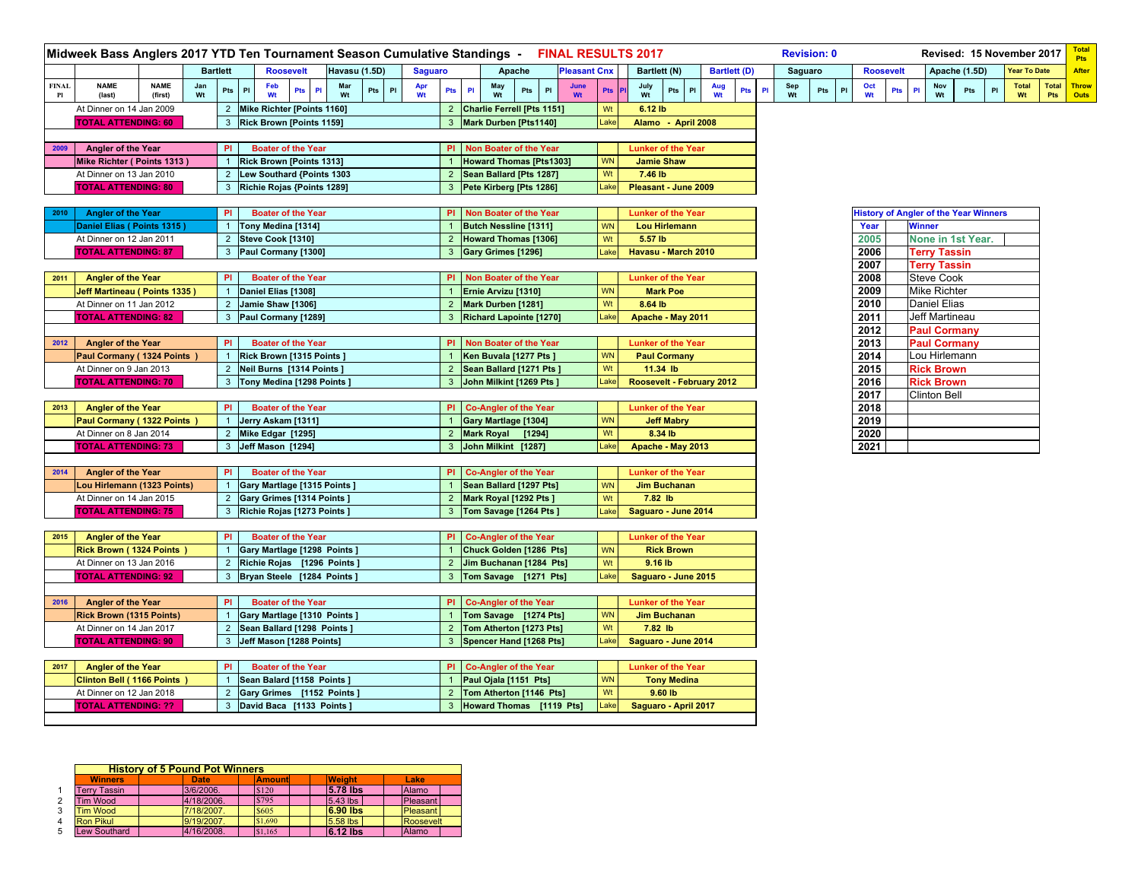|              | Midweek Bass Anglers 2017 YTD Ten Tournament Season Cumulative Standings - FINAL RESULTS 2017 |                        |           |                 |                |     |                                                            |   |               |     |   |                |                |                |                                                    |     |                          |                     |                 |                           |                              |                           |           |                     |    |           | <b>Revision: 0</b> |    |                                              |          |               | Revised: 15 November 2017 |     |   |                     |     | <b>Total</b><br><b>Pts</b> |
|--------------|-----------------------------------------------------------------------------------------------|------------------------|-----------|-----------------|----------------|-----|------------------------------------------------------------|---|---------------|-----|---|----------------|----------------|----------------|----------------------------------------------------|-----|--------------------------|---------------------|-----------------|---------------------------|------------------------------|---------------------------|-----------|---------------------|----|-----------|--------------------|----|----------------------------------------------|----------|---------------|---------------------------|-----|---|---------------------|-----|----------------------------|
|              |                                                                                               |                        |           | <b>Bartlett</b> |                |     | <b>Roosevelt</b>                                           |   | Havasu (1.5D) |     |   | <b>Saguaro</b> |                |                | Apache                                             |     |                          | <b>Pleasant Cnx</b> |                 |                           | Bartlett (N)                 |                           |           | <b>Bartlett (D)</b> |    |           | Saguaro            |    | <b>Roosevelt</b>                             |          |               | Apache (1.5D)             |     |   | <b>Year To Date</b> |     | After                      |
| <b>FINAL</b> | <b>NAME</b><br>(last)                                                                         | <b>NAME</b><br>(first) | Jan<br>Wt |                 | P<br>Pts       | Feb | Pts                                                        | P | Mar           | Pts | P | Apr<br>Wt      | Pts            | $\mathsf{PI}$  | May                                                | Pts | PI                       | June<br>Wt          | Pts             | July<br>Wt                | Pts                          | PI                        | Aug<br>Wt | Pts                 | P1 | Sep<br>Wt | Pts                | PI | Oct<br>Wt                                    | Pts<br>P | Nov<br>Wt     |                           | Pts | P | <b>Total</b>        | Pts | Total Throw<br>Outs        |
|              | At Dinner on 14 Jan 2009                                                                      |                        |           |                 | $2^{\circ}$    |     | Mike Richter [Points 1160]                                 |   |               |     |   |                |                |                | 2 Charlie Ferrell [Pts 1151]                       |     |                          |                     | Wt              | 6.12 lb                   |                              |                           |           |                     |    |           |                    |    |                                              |          |               |                           |     |   |                     |     |                            |
|              | <b>TOTAL ATTENDING: 60</b>                                                                    |                        |           |                 |                |     | 3 Rick Brown [Points 1159]                                 |   |               |     |   |                | 3              |                | Mark Durben [Pts1140]                              |     |                          |                     | Lake            |                           |                              | Alamo - April 2008        |           |                     |    |           |                    |    |                                              |          |               |                           |     |   |                     |     |                            |
|              |                                                                                               |                        |           |                 |                |     |                                                            |   |               |     |   |                |                |                |                                                    |     |                          |                     |                 |                           |                              |                           |           |                     |    |           |                    |    |                                              |          |               |                           |     |   |                     |     |                            |
| 2009         | Angler of the Year                                                                            |                        |           |                 | PI             |     | <b>Boater of the Year</b>                                  |   |               |     |   |                | PI             |                | Non Boater of the Year                             |     |                          |                     |                 |                           |                              | <b>Lunker of the Year</b> |           |                     |    |           |                    |    |                                              |          |               |                           |     |   |                     |     |                            |
|              | Mike Richter (Points 1313)                                                                    |                        |           |                 |                |     | Rick Brown [Points 1313]                                   |   |               |     |   |                |                |                | <b>Howard Thomas [Pts1303]</b>                     |     |                          |                     | <b>WN</b>       |                           | <b>Jamie Shaw</b>            |                           |           |                     |    |           |                    |    |                                              |          |               |                           |     |   |                     |     |                            |
|              | At Dinner on 13 Jan 2010                                                                      |                        |           |                 |                |     | 2 Lew Southard {Points 1303                                |   |               |     |   |                |                |                | 2 Sean Ballard [Pts 1287]                          |     |                          |                     | Wt              | 7.46 lb                   |                              |                           |           |                     |    |           |                    |    |                                              |          |               |                           |     |   |                     |     |                            |
|              | <b>TOTAL ATTENDING: 80</b>                                                                    |                        |           |                 |                |     | 3 Richie Rojas {Points 1289]                               |   |               |     |   |                |                |                | 3 Pete Kirberg [Pts 1286]                          |     |                          |                     | Lake            | Pleasant - June 2009      |                              |                           |           |                     |    |           |                    |    |                                              |          |               |                           |     |   |                     |     |                            |
|              |                                                                                               |                        |           |                 |                |     |                                                            |   |               |     |   |                |                |                |                                                    |     |                          |                     |                 |                           |                              |                           |           |                     |    |           |                    |    |                                              |          |               |                           |     |   |                     |     |                            |
| 2010         | <b>Angler of the Year</b>                                                                     |                        |           |                 | PI             |     | <b>Boater of the Year</b>                                  |   |               |     |   |                | PI.            |                | Non Boater of the Year                             |     |                          |                     |                 | <b>Lunker of the Year</b> |                              |                           |           |                     |    |           |                    |    | <b>History of Angler of the Year Winners</b> |          |               |                           |     |   |                     |     |                            |
|              | Daniel Elias (Points 1315)                                                                    |                        |           |                 |                |     | Tony Medina [1314]                                         |   |               |     |   |                |                |                | <b>Butch Nessline [1311]</b>                       |     |                          |                     | <b>WN</b>       |                           |                              | <b>Lou Hirlemann</b>      |           |                     |    |           |                    |    | Year                                         |          | <b>Winner</b> |                           |     |   |                     |     |                            |
|              | At Dinner on 12 Jan 2011                                                                      |                        |           |                 | $2^{\circ}$    |     | Steve Cook [1310]                                          |   |               |     |   |                | $\overline{2}$ |                | <b>Howard Thomas [1306]</b>                        |     |                          |                     | Wt              | 5.57 lb                   |                              |                           |           |                     |    |           |                    |    | 2005                                         |          |               | None in 1st Year.         |     |   |                     |     |                            |
|              | <b>TOTAL ATTENDING: 87</b>                                                                    |                        |           |                 | 3              |     | Paul Cormany [1300]                                        |   |               |     |   |                | $\mathbf{3}$   |                | Gary Grimes [1296]                                 |     |                          |                     | Lake            | Havasu - March 2010       |                              |                           |           |                     |    |           |                    |    | 2006                                         |          |               | <b>Terry Tassin</b>       |     |   |                     |     |                            |
|              |                                                                                               |                        |           |                 |                |     |                                                            |   |               |     |   |                |                |                |                                                    |     |                          |                     |                 |                           |                              |                           |           |                     |    |           |                    |    | 2007                                         |          |               | <b>Terry Tassin</b>       |     |   |                     |     |                            |
| 2011         | <b>Angler of the Year</b>                                                                     |                        |           |                 | <b>PI</b>      |     | <b>Boater of the Year</b>                                  |   |               |     |   |                | PI.            |                | Non Boater of the Year                             |     |                          |                     |                 | <b>Lunker of the Year</b> |                              |                           |           |                     |    |           |                    |    | 2008                                         |          |               | <b>Steve Cook</b>         |     |   |                     |     |                            |
|              | Jeff Martineau (Points 1335)                                                                  |                        |           |                 |                |     | Daniel Elias [1308]                                        |   |               |     |   |                |                |                | Ernie Arvizu [1310]                                |     |                          |                     | <b>WN</b>       |                           | <b>Mark Poe</b>              |                           |           |                     |    |           |                    |    | 2009                                         |          |               | <b>Mike Richter</b>       |     |   |                     |     |                            |
|              | At Dinner on 11 Jan 2012                                                                      |                        |           |                 | 2 <sup>7</sup> |     | Jamie Shaw [1306]                                          |   |               |     |   |                | $\overline{2}$ |                | Mark Durben [1281]                                 |     |                          |                     | Wt              | 8.64 lb                   |                              |                           |           |                     |    |           |                    |    | 2010                                         |          |               | <b>Daniel Elias</b>       |     |   |                     |     |                            |
|              | <b>TOTAL ATTENDING: 82</b>                                                                    |                        |           |                 | 3              |     | Paul Cormany [1289]                                        |   |               |     |   |                | 3              |                | <b>Richard Lapointe [1270]</b>                     |     |                          |                     | Lake            |                           |                              | Apache - May 2011         |           |                     |    |           |                    |    | 2011                                         |          |               | Jeff Martineau            |     |   |                     |     |                            |
|              |                                                                                               |                        |           |                 |                |     |                                                            |   |               |     |   |                |                |                |                                                    |     |                          |                     |                 |                           |                              |                           |           |                     |    |           |                    |    | 2012                                         |          |               | <b>Paul Cormany</b>       |     |   |                     |     |                            |
| 2012         | <b>Angler of the Year</b>                                                                     |                        |           |                 | PI             |     | <b>Boater of the Year</b>                                  |   |               |     |   |                | PI.            |                | Non Boater of the Year                             |     |                          |                     |                 |                           |                              | <b>Lunker of the Year</b> |           |                     |    |           |                    |    | 2013                                         |          |               | <b>Paul Cormany</b>       |     |   |                     |     |                            |
|              | Paul Cormany (1324 Points)                                                                    |                        |           |                 |                |     | Rick Brown [1315 Points]                                   |   |               |     |   |                | $\overline{1}$ |                | Ken Buvala [1277 Pts ]                             |     |                          |                     | <b>WN</b>       |                           | <b>Paul Cormany</b>          |                           |           |                     |    |           |                    |    | 2014                                         |          |               | Lou Hirlemann             |     |   |                     |     |                            |
|              | At Dinner on 9 Jan 2013                                                                       |                        |           |                 |                |     | 2 Neil Burns [1314 Points]                                 |   |               |     |   |                |                |                | 2 Sean Ballard [1271 Pts]                          |     |                          |                     | Wt              |                           | 11.34 lb                     |                           |           |                     |    |           |                    |    | 2015                                         |          |               | <b>Rick Brown</b>         |     |   |                     |     |                            |
|              | <b>TOTAL ATTENDING: 70</b>                                                                    |                        |           |                 | 3              |     | Tony Medina [1298 Points]                                  |   |               |     |   |                |                |                | 3 John Milkint [1269 Pts]                          |     |                          |                     | Lake            | Roosevelt - February 2012 |                              |                           |           |                     |    |           |                    |    | 2016                                         |          |               | <b>Rick Brown</b>         |     |   |                     |     |                            |
|              |                                                                                               |                        |           |                 |                |     |                                                            |   |               |     |   |                |                |                |                                                    |     |                          |                     |                 |                           |                              |                           |           |                     |    |           |                    |    | 2017                                         |          |               | <b>Clinton Bell</b>       |     |   |                     |     |                            |
| 2013         | <b>Angler of the Year</b>                                                                     |                        |           |                 | <b>PI</b>      |     | <b>Boater of the Year</b>                                  |   |               |     |   |                | PI             |                | <b>Co-Angler of the Year</b>                       |     |                          |                     |                 | <b>Lunker of the Year</b> |                              |                           |           |                     |    |           |                    |    | 2018                                         |          |               |                           |     |   |                     |     |                            |
|              | Paul Cormany (1322 Points                                                                     |                        |           |                 | $\mathbf{1}$   |     | Jerry Askam [1311]                                         |   |               |     |   |                | $\overline{1}$ |                | Gary Martlage [1304]                               |     |                          |                     | <b>WN</b>       |                           | <b>Jeff Mabry</b>            |                           |           |                     |    |           |                    |    | 2019                                         |          |               |                           |     |   |                     |     |                            |
|              | At Dinner on 8 Jan 2014                                                                       |                        |           |                 |                |     | 2 Mike Edgar [1295]                                        |   |               |     |   |                |                |                | 2 Mark Royal [1294]                                |     |                          |                     | Wt              |                           | 8.34 lb                      |                           |           |                     |    |           |                    |    | 2020                                         |          |               |                           |     |   |                     |     |                            |
|              | <b>TOTAL ATTENDING: 73</b>                                                                    |                        |           |                 |                |     | 3 Jeff Mason [1294]                                        |   |               |     |   |                |                |                | 3 John Milkint [1287]                              |     |                          |                     | _ake            | Apache - May 2013         |                              |                           |           |                     |    |           |                    |    | 2021                                         |          |               |                           |     |   |                     |     |                            |
|              |                                                                                               |                        |           |                 |                |     |                                                            |   |               |     |   |                |                |                |                                                    |     |                          |                     |                 |                           |                              |                           |           |                     |    |           |                    |    |                                              |          |               |                           |     |   |                     |     |                            |
| 2014         | <b>Angler of the Year</b>                                                                     |                        |           |                 | <b>PI</b>      |     | <b>Boater of the Year</b>                                  |   |               |     |   |                | PI             |                | <b>Co-Angler of the Year</b>                       |     |                          |                     |                 |                           |                              | <b>Lunker of the Year</b> |           |                     |    |           |                    |    |                                              |          |               |                           |     |   |                     |     |                            |
|              | Lou Hirlemann (1323 Points)                                                                   |                        |           |                 |                |     | Gary Martlage [1315 Points ]                               |   |               |     |   |                |                |                | Sean Ballard [1297 Pts]                            |     |                          |                     | <b>WN</b>       |                           | <b>Jim Buchanan</b>          |                           |           |                     |    |           |                    |    |                                              |          |               |                           |     |   |                     |     |                            |
|              | At Dinner on 14 Jan 2015                                                                      |                        |           |                 | 2 <sup>2</sup> |     | Gary Grimes [1314 Points]                                  |   |               |     |   |                | $\overline{2}$ |                | Mark Royal [1292 Pts ]                             |     |                          |                     | Wt              |                           | 7.82 lb                      |                           |           |                     |    |           |                    |    |                                              |          |               |                           |     |   |                     |     |                            |
|              | <b>TOTAL ATTENDING: 75</b>                                                                    |                        |           |                 | 3              |     | Richie Rojas [1273 Points]                                 |   |               |     |   |                | 3 <sup>1</sup> |                | Tom Savage [1264 Pts]                              |     |                          |                     | _ake            | Saguaro - June 2014       |                              |                           |           |                     |    |           |                    |    |                                              |          |               |                           |     |   |                     |     |                            |
|              |                                                                                               |                        |           |                 |                |     |                                                            |   |               |     |   |                |                |                |                                                    |     |                          |                     |                 |                           |                              |                           |           |                     |    |           |                    |    |                                              |          |               |                           |     |   |                     |     |                            |
| 2015         | <b>Angler of the Year</b>                                                                     |                        |           |                 | <b>PI</b>      |     | <b>Boater of the Year</b>                                  |   |               |     |   |                | <b>PI</b>      |                | <b>Co-Angler of the Year</b>                       |     |                          |                     |                 | <b>Lunker of the Year</b> |                              |                           |           |                     |    |           |                    |    |                                              |          |               |                           |     |   |                     |     |                            |
|              | <b>Rick Brown (1324 Points</b><br>At Dinner on 13 Jan 2016                                    |                        |           |                 | $\overline{2}$ |     | Gary Martlage [1298 Points ]<br>Richie Rojas [1296 Points] |   |               |     |   |                | $\overline{2}$ |                | Chuck Golden [1286 Pts]<br>Jim Buchanan [1284 Pts] |     |                          |                     | <b>WN</b><br>Wt |                           | <b>Rick Brown</b><br>9.16 lb |                           |           |                     |    |           |                    |    |                                              |          |               |                           |     |   |                     |     |                            |
|              |                                                                                               |                        |           |                 | 3              |     | Bryan Steele [1284 Points ]                                |   |               |     |   |                | 3              |                | Tom Savage [1271 Pts]                              |     |                          |                     | Lake            |                           |                              |                           |           |                     |    |           |                    |    |                                              |          |               |                           |     |   |                     |     |                            |
|              | <b>TOTAL ATTENDING: 92</b>                                                                    |                        |           |                 |                |     |                                                            |   |               |     |   |                |                |                |                                                    |     |                          |                     |                 |                           |                              | Saguaro - June 2015       |           |                     |    |           |                    |    |                                              |          |               |                           |     |   |                     |     |                            |
| 2016         |                                                                                               |                        |           |                 | <b>PI</b>      |     | <b>Boater of the Year</b>                                  |   |               |     |   |                | PL             |                | <b>Co-Angler of the Year</b>                       |     |                          |                     |                 | <b>Lunker of the Year</b> |                              |                           |           |                     |    |           |                    |    |                                              |          |               |                           |     |   |                     |     |                            |
|              | <b>Angler of the Year</b><br><b>Rick Brown (1315 Points)</b>                                  |                        |           |                 |                |     | Gary Martlage [1310 Points ]                               |   |               |     |   |                |                |                | Tom Savage [1274 Pts]                              |     |                          |                     | <b>WN</b>       |                           | <b>Jim Buchanan</b>          |                           |           |                     |    |           |                    |    |                                              |          |               |                           |     |   |                     |     |                            |
|              | At Dinner on 14 Jan 2017                                                                      |                        |           |                 | $2^{\circ}$    |     | Sean Ballard [1298 Points]                                 |   |               |     |   |                |                | 2 <sup>1</sup> | Tom Atherton [1273 Pts]                            |     |                          |                     | Wt              |                           | 7.82 lb                      |                           |           |                     |    |           |                    |    |                                              |          |               |                           |     |   |                     |     |                            |
|              | <b>TOTAL ATTENDING: 90</b>                                                                    |                        |           |                 |                |     | Jeff Mason [1288 Points]                                   |   |               |     |   |                |                |                | Spencer Hand [1268 Pts]                            |     |                          |                     | Lake            | Saguaro - June 2014       |                              |                           |           |                     |    |           |                    |    |                                              |          |               |                           |     |   |                     |     |                            |
|              |                                                                                               |                        |           |                 |                |     |                                                            |   |               |     |   |                |                |                |                                                    |     |                          |                     |                 |                           |                              |                           |           |                     |    |           |                    |    |                                              |          |               |                           |     |   |                     |     |                            |
| 2017         | <b>Angler of the Year</b>                                                                     |                        |           |                 | <b>PI</b>      |     | <b>Boater of the Year</b>                                  |   |               |     |   |                | PI             |                | <b>Co-Angler of the Year</b>                       |     |                          |                     |                 | <b>Lunker of the Year</b> |                              |                           |           |                     |    |           |                    |    |                                              |          |               |                           |     |   |                     |     |                            |
|              | <b>Clinton Bell (1166 Points</b>                                                              |                        |           |                 |                |     | Sean Balard [1158 Points]                                  |   |               |     |   |                |                |                | Paul Ojala [1151 Pts]                              |     |                          |                     | <b>WN</b>       |                           |                              | <b>Tony Medina</b>        |           |                     |    |           |                    |    |                                              |          |               |                           |     |   |                     |     |                            |
|              | At Dinner on 12 Jan 2018                                                                      |                        |           |                 |                |     | 2 Gary Grimes [1152 Points]                                |   |               |     |   |                |                |                | 2 Tom Atherton [1146 Pts]                          |     |                          |                     | Wt              |                           | $9.60$ lb                    |                           |           |                     |    |           |                    |    |                                              |          |               |                           |     |   |                     |     |                            |
|              | <b>TOTAL ATTENDING: ??</b>                                                                    |                        |           |                 |                |     | 3 David Baca [1133 Points ]                                |   |               |     |   |                |                |                |                                                    |     | Howard Thomas [1119 Pts] |                     | _ake            | Saguaro - April 2017      |                              |                           |           |                     |    |           |                    |    |                                              |          |               |                           |     |   |                     |     |                            |
|              |                                                                                               |                        |           |                 |                |     |                                                            |   |               |     |   |                |                |                |                                                    |     |                          |                     |                 |                           |                              |                           |           |                     |    |           |                    |    |                                              |          |               |                           |     |   |                     |     |                            |

|                     | <b>History of 5 Pound Pot Winners</b> |               |               |                 |
|---------------------|---------------------------------------|---------------|---------------|-----------------|
| <b>Winners</b>      | <b>Date</b>                           | <b>Amount</b> | <b>Weight</b> | Lake            |
| <b>Terry Tassin</b> | 3/6/2006.                             | \$120         | 5.78 lbs      | Alamo           |
| Tim Wood            | 4/18/2006.                            | \$795         | 5.43 lbs      | <b>Pleasant</b> |
| <b>Tim Wood</b>     | 7/18/2007.                            | \$605         | $6.90$ lbs    | <b>Pleasant</b> |
| <b>Ron Pikul</b>    | 9/19/2007.                            | \$1,690       | 5.58 lbs      | Roosevelt       |
| ew Southard         | 4/16/2008.                            | \$1.165       | 6.12 lbs      | Alamo           |